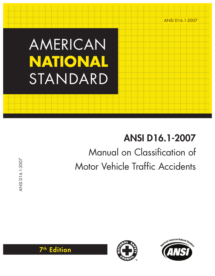# AMERICAN **NATIONAL**  STANDARD

# ANSI D16.1-2007 Manual on Classification of Motor Vehicle Traffic Accidents

ANSI D16.1-2007 ANSI D16.1-2007





7th Edition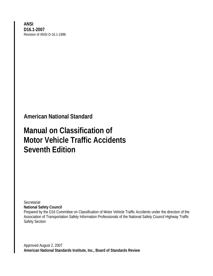**ANSI D16.1-2007**  Revision of ANSI D-16.1-1996

**American National Standard** 

## **Manual on Classification of Motor Vehicle Traffic Accidents Seventh Edition**

**Secretariat National Safety Council** 

Prepared by the D16 Committee on Classification of Motor Vehicle Traffic Accidents under the direction of the Association of Transportation Safety Information Professionals of the National Safety Council Highway Traffic Safety Section

Approved August 2, 2007 **American National Standards Institute, Inc., Board of Standards Review**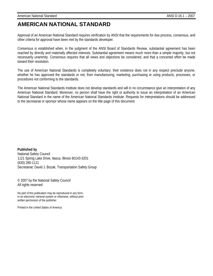### **AMERICAN NATIONAL STANDARD**

Approval of an American National Standard requires verification by ANSI that the requirements for due process, consensus, and other criteria for approval have been met by the standards developer.

Consensus is established when, in the judgment of the ANSI Board of Standards Review, substantial agreement has been reached by directly and materially affected interests. Substantial agreement means much more than a simple majority, but not necessarily unanimity. Consensus requires that all views and objections be considered, and that a concerted effort be made toward their resolution.

The use of American National Standards is completely voluntary: their existence does not in any respect preclude anyone, whether he has approved the standards or not, from manufacturing, marketing, purchasing or using products, processes, or procedures not conforming to the standards.

The American National Standards Institute does not develop standards and will in no circumstance give an interpretation of any American National Standard. Moreover, no person shall have the right or authority to issue an interpretation of an American National Standard in the name of the American National Standards Institute. Requests for interpretations should be addressed to the secretariat or sponsor whose name appears on the title page of this document.

**Published by**  National Safety Council 1121 Spring Lake Drive, Itasca, Illinois 60143-3201 (630) 285-1121 Secretariat: David J. Bozak, Transportation Safety Group

© 2007 by the National Safety Council All rights reserved

No part of this publication may be reproduced in any form, In an electronic retrieval system or otherwise, without prior written permission of the publisher.

Printed in the United States of America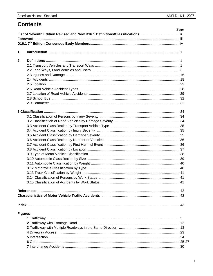### **Contents**

|                | Page |
|----------------|------|
|                |      |
|                |      |
|                |      |
| 1              |      |
| $\mathbf{2}$   |      |
|                |      |
|                |      |
|                |      |
|                |      |
|                |      |
|                |      |
|                |      |
|                |      |
|                |      |
|                |      |
|                |      |
|                |      |
|                |      |
|                |      |
|                |      |
|                |      |
|                |      |
|                |      |
|                |      |
|                |      |
|                |      |
|                |      |
|                |      |
|                |      |
|                |      |
|                |      |
|                |      |
|                |      |
|                |      |
| <b>Figures</b> |      |
|                |      |
|                |      |
|                |      |
|                |      |
|                |      |
|                |      |
|                |      |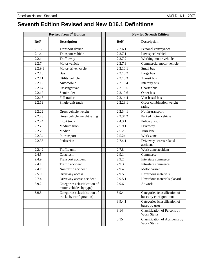### **Seventh Edition Revised and New D16.1 Definitions**

|                    | <b>Revised from 6th Edition</b>                           | <b>New for Seventh Edition</b> |          |                                                          |  |  |  |  |  |
|--------------------|-----------------------------------------------------------|--------------------------------|----------|----------------------------------------------------------|--|--|--|--|--|
| Ref#               | <b>Description</b>                                        |                                | Ref#     | <b>Description</b>                                       |  |  |  |  |  |
| 2.1.3              | Transport device                                          |                                | 2.2.6.1  | Personal conveyance                                      |  |  |  |  |  |
| 2.1.4              | <b>Transport vehicle</b>                                  |                                | 2.2.7.1  | Low speed vehicle                                        |  |  |  |  |  |
| 2.2.1              | Trafficway                                                |                                | 2.2.7.2  | Working motor vehicle                                    |  |  |  |  |  |
| 2.2.7              | Motor vehicle                                             |                                | 2.2.7.3  | Commercial motor vehicle                                 |  |  |  |  |  |
| 2.2.9.1            | Motor-driven cycle                                        |                                | 2.2.10.1 | Small bus                                                |  |  |  |  |  |
| 2.2.10             | <b>Bus</b>                                                |                                | 2.2.10.2 | Large bus                                                |  |  |  |  |  |
| 2.2.11             | Utility vehicle                                           |                                | 2.2.10.3 | <b>Transit bus</b>                                       |  |  |  |  |  |
| 2.2.12             | Automobile                                                |                                | 2.2.10.4 | Intercity bus                                            |  |  |  |  |  |
| 2.2.14.1           | Passenger van                                             |                                | 2.2.10.5 | Charter bus                                              |  |  |  |  |  |
| 2.2.17             | Semitrailer                                               |                                | 2.2.10.6 | Other bus                                                |  |  |  |  |  |
| 2.2.18             | Full trailer                                              |                                | 2.2.14.4 | Van-based bus                                            |  |  |  |  |  |
| 2.2.19             | Single-unit truck                                         |                                | 2.2.23.1 | Gross combination weight<br>rating                       |  |  |  |  |  |
| 2.2.22             | Gross vehicle weight                                      |                                | 2.2.34.1 | Not in-transport                                         |  |  |  |  |  |
| 2.2.23             | Gross vehicle weight rating                               |                                | 2.2.34.2 | Parked motor vehicle                                     |  |  |  |  |  |
| 2.2.24             | Light truck                                               |                                | 2.4.3.1  | Police pursuit                                           |  |  |  |  |  |
| 2.2.25             | Medium truck                                              |                                | 2.5.9.1  | Driveway                                                 |  |  |  |  |  |
| 2.2.29             | Median                                                    |                                | 2.5.23   | Turn lane                                                |  |  |  |  |  |
| 2.2.34             | In-transport                                              |                                | 2.5.24   | Work zone                                                |  |  |  |  |  |
| 2.2.36             | Pedestrian                                                |                                | 2.7.4.1  | Driveway access related<br>accident                      |  |  |  |  |  |
| 2.2.42             | Traffic unit                                              |                                | 2.7.8    | Work zone accident                                       |  |  |  |  |  |
| 2.4.5              | Cataclysm                                                 |                                | 2.9.1    | Commerce                                                 |  |  |  |  |  |
| $\overline{2.4.9}$ | Transport accident                                        |                                | 2.9.2    | Interstate commerce                                      |  |  |  |  |  |
| 2.4.18             | Traffic accident                                          |                                | 2.9.3    | Intrastate commerce                                      |  |  |  |  |  |
| 2.4.19             | Nontraffic accident                                       |                                | 2.9.4    | Motor carrier                                            |  |  |  |  |  |
| 2.5.9              | Driveway access                                           |                                | 2.9.5    | Hazardous materials                                      |  |  |  |  |  |
| 2.7.4              | Driveway access accident                                  |                                | 2.9.5.1  | Hazardous materials placard                              |  |  |  |  |  |
| 3.9.2              | Categories (classification of<br>motor vehicles by type)  |                                | 2.9.6    | At work                                                  |  |  |  |  |  |
| 3.9.3              | Categories (classification of<br>trucks by configuration) |                                | 3.9.4    | Categories (classification of<br>buses by configuration) |  |  |  |  |  |
|                    |                                                           |                                | 3.9.4.1  | Categories (classification of<br>buses by use)           |  |  |  |  |  |
|                    |                                                           |                                | 3.14     | Classification of Persons by<br><b>Work Status</b>       |  |  |  |  |  |
|                    |                                                           |                                | 3.15     | Classification of Accidents by<br><b>Work Status</b>     |  |  |  |  |  |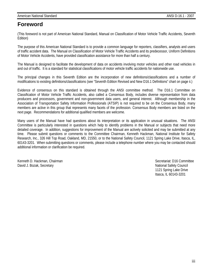### **Foreword**

(This foreword is not part of American National Standard, Manual on Classification of Motor Vehicle Traffic Accidents, Seventh Edition)

The purpose of this American National Standard is to provide a common language for reporters, classifiers, analysts and users of traffic accident data. The Manual on Classification of Motor Vehicle Traffic Accidents and its predecessor, Uniform Definitions of Motor Vehicle Accidents, have provided classification assistance for more than half a century.

The Manual is designed to facilitate the development of data on accidents involving motor vehicles and other road vehicles in and out of traffic. It is a standard for statistical classifications of motor vehicle traffic accidents for nationwide use.

The principal changes in this Seventh Edition are the incorporation of new definitions/classifications and a number of modifications to existing definitions/classifications (see "Seventh Edition Revised and New D16.1 Definitions" chart on page ii.)

Evidence of consensus on this standard is obtained through the ANSI committee method. The D16.1 Committee on Classification of Motor Vehicle Traffic Accidents, also called a Consensus Body, includes diverse representation from data producers and processors, government and non-government data users, and general interest. Although membership in the Association of Transportation Safety Information Professionals (ATSIP) is not required to be on the Consensus Body, many members are active in this group that represents many facets of the profession. Consensus Body members are listed on the next page. Recommendations for additional qualified members are welcome.

Many users of the Manual have had questions about its interpretation or its application in unusual situations. The ANSI Committee is particularly interested in questions which help to identify problems in the Manual or subjects that need more detailed coverage. In addition, suggestions for improvement of the Manual are actively solicited and may be submitted at any time. Please submit questions or comments to the Committee Chairman, Kenneth Hackman, National Institute for Safety Research, Inc., 326 Hill Top Road, Oakland, MD, 21550, or to the National Safety Council, 1121 Spring Lake Drive, Itasca, IL, 60143-3201. When submitting questions or comments, please include a telephone number where you may be contacted should additional information or clarification be required.

Kenneth D. Hackman, Chairman Secretariat: D16 Committee Secretariat: D16 Committee David J. Bozak, Secretary National Safety Council and Safety Council and Safety Council and Safety Council and Safety Council and Safety Council and Safety Council and Safety Council and Safety Council and Safety Council a

 1121 Spring Lake Drive Itasca, IL 60143-3201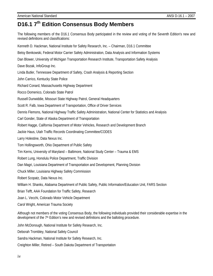## **D16.1 7th Edition Consensus Body Members**

The following members of the D16.1 Consensus Body participated in the review and voting of the Seventh Edition's new and revised definitions and classifications: Kenneth D. Hackman, National Institute for Safety Research, Inc. – Chairman, D16.1 Committee Betsy Benkowski, Federal Motor Carrier Safety Administration, Data Analysis and Information Systems Dan Blower, University of Michigan Transportation Research Institute, Transportation Safety Analysis Dave Bozak, InfoGroup Inc. Linda Butler, Tennessee Department of Safety, Crash Analysis & Reporting Section John Carrico, Kentucky State Police Richard Conard, Massachusetts Highway Department Rocco Domenico, Colorado State Patrol Russell Dunwiddie, Missouri State Highway Patrol, General Headquarters Scott R. Falb, Iowa Department of Transportation, Office of Driver Services Dennis Flemons, National Highway Traffic Safety Administration, National Center for Statistics and Analysis Carl Gonder, State of Alaska Department of Transportation Robert Hagge, California Department of Motor Vehicles, Research and Development Branch Jackie Haus, Utah Traffic Records Coordinating Committee/CODES Larry Holestine, Data Nexus Inc. Tom Hollingsworth, Ohio Department of Public Safety Tim Kerns, University of Maryland – Baltimore, National Study Center – Trauma & EMS Robert Lung, Honolulu Police Department, Traffic Division Dan Magri, Louisiana Department of Transportation and Development, Planning Division Chuck Miller, Louisiana Highway Safety Commission Robert Scopatz, Data Nexus Inc. William H. Shanks, Alabama Department of Public Safety, Public Information/Education Unit, FARS Section Brian Tefft, AAA Foundation for Traffic Safety, Research Joan L. Vecchi, Colorado Motor Vehicle Department Carol Wright, American Trauma Society Although not members of the voting Consensus Body, the following individuals provided their considerable expertise in the development of the 7<sup>th</sup> Edition's new and revised definitions and the balloting procedure. John McDonough, National Institute for Safety Research, Inc. Deborah Trombley, National Safety Council Sandra Hackman, National Institute for Safety Research, Inc.

Creighton Miller, Retired – South Dakota Department of Transportation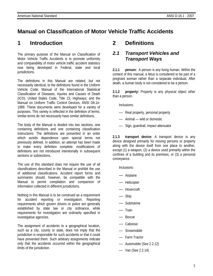### **Manual on Classification of Motor Vehicle Traffic Accidents**

### **1 Introduction**

The primary purpose of the Manual on Classification of Motor Vehicle Traffic Accidents is to promote uniformity and comparability of motor vehicle traffic accident statistics now being developed in Federal, state and local jurisdictions.

The definitions in this Manual are related, but not necessarily identical, to the definitions found in the Uniform Vehicle Code; Manual of the International Statistical Classification of Diseases, Injuries and Causes of Death (ICD); United States Code, Title 23, Highways; and the Manual on Uniform Traffic Control Devices, ANSI D6.1e-1989. These documents were developed for a variety of purposes. This variety is reflected in the definition of terms; similar terms do not necessarily have similar definitions.

The body of the Manual is divided into two sections, one containing definitions and one containing classification instructions. The definitions are presented in an order which avoids dependence upon special terms not previously defined. In addition, an attempt has been made to make every definition complete; modifications of definitions are not introduced intentionally in subsequent sections or subsections.

The use of this standard does not require the use of all classifications described in the Manual or prohibit the use of additional classifications. Accident report forms and summaries should, however, be compatible with the Manual to permit compilation and comparison of information collected in different jurisdictions.

Nothing in this Manual is to be construed as a requirement for accident reporting or investigation. Reporting requirements which govern drivers or police are generally established by state law or city ordinance, while requirements for investigation are ordinarily specified in investigative agencies.

The assignment of accidents to a geographical location, such as a city, county or state, does not imply that the jurisdiction is responsible for such accidents or that it could have prevented them. Such arbitrary assignments indicate only that the accidents occurred within the geographical limits of the jurisdiction.

### **2 Definitions**

### *2.1 Transport Vehicles and Transport Ways*

**2.1.1 person:** A person is any living human. Within the context of this manual, a fetus is considered to be part of a pregnant woman rather than a separate individual. After death, a human body is not considered to be a person.

**2.1.2 property:** Property is any physical object other than a person.

Inclusions:

- Real property, personal property
- Animal wild or domestic
- Sign, guardrail, impact attenuator

**2.1.3 transport device:** A transport device is any device designed primarily for moving persons or property along with the device itself from one place to another, except (1) a weapon, (2) a device used primarily within the confines of a building and its premises, or (3) a personal conveyance.

Inclusions:

- Airplane
- Helicopter
- Hovercraft
- Ship
- Submarine
- Train
- Boxcar
- Caboose
- Snowmobile
- Farm Tractor
- Automobile (See 2.2.12)
- Van (See 2.2.14)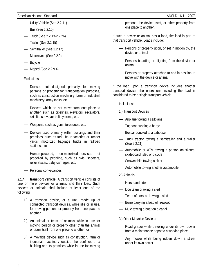- Utility Vehicle (See 2.2.11)
- Bus (See 2.2.10)
- Truck (See 2.2.13-2.2.26)
- Trailer (See 2.2.15)
- Semitrailer (See 2.2.17)
- Motorcycle (See 2.2.9)
- Bicycle
- Moped (See 2.2.9.4)

### Exclusions:

- Devices not designed primarily for moving persons or property for transportation purposes, such as construction machinery, farm or industrial machinery, army tanks, etc.
- Devices which do not move from one place to another, such as pipelines, elevators, escalators, ski lifts, conveyor belt systems, etc.
- Weapons, such as guns, torpedoes, etc.
- Devices used primarily within buildings and their premises, such as fork lifts in factories or lumber yards, motorized baggage trucks in railroad stations, etc.
- Human-powered, non-motorized devices not propelled by pedaling, such as skis, scooters, roller skates, baby carriages, etc.
- Personal conveyances

**2.1.4 transport vehicle:** A transport vehicle consists of one or more devices or animals and their load. Such devices or animals shall include at least one of the following:

- 1.) A transport device, or a unit, made up of connected transport devices, while idle or in use, for moving persons or property from one place to another,
- 2.) An animal or team of animals while in use for moving person or property other than the animal or team itself from one place to another, or
- 3.) A movable device such as construction, farm or industrial machinery outside the confines of a building and its premises while in use for moving

persons, the device itself, or other property from one place to another.

If such a device or animal has a load, the load is part of that transport vehicle. Loads include:

- Persons or property upon, or set in motion by, the device or animal
- Persons boarding or alighting from the device or animal
- Persons or property attached to and in position to move with the device or animal

If the load upon a transport device includes another transport device, the entire unit including the load is considered to be a single transport vehicle.

Inclusions:

- 1.) Transport Devices
- Airplane towing a sailplane
- Tugboat pushing a barge
- Boxcar coupled to a caboose
- Truck tractor towing a semitrailer and a trailer (See 2.2.21)
- Automobile or ATV towing a person on skates, skateboard, sled or bicycle
- Snowmobile towing a skier
- Automobile towing another automobile
- 2.) Animals
- Horse and rider
- Dog team drawing a sled
- Team of horses drawing a sled
- Burro carrying a load of firewood
- Mule towing a boat on a canal
- 3.) Other Movable Devices
- Road grader while traveling under its own power from a maintenance depot to a working place
- Any mower while being ridden down a street under its own power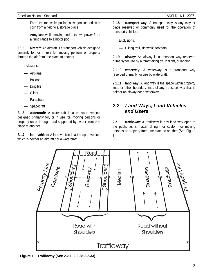- Farm tractor while pulling a wagon loaded with corn from a field to a storage place
- Army tank while moving under its own power from a firing range to a motor pool

**2.1.5 aircraft:** An aircraft is a transport vehicle designed primarily for, or in use for, moving persons or property through the air from one place to another.

Inclusions:

- Airplane
- Balloon
- **Dirigible**
- Glider
- **Parachute**
- **Spacecraft**

**2.1.6 watercraft:** A watercraft is a transport vehicle designed primarily for, or in use for, moving persons or property on or through, and supported by, water from one place to another.

**2.1.7 land vehicle:** A land vehicle is a transport vehicle which is neither an aircraft nor a watercraft.

**2.1.8 transport way:** A transport way is any way or place reserved or commonly used for the operation of transport vehicles.

Exclusions:

— Hiking trail, sidewalk, footpath

**2.1.9 airway:** An airway is a transport way reserved primarily for use by aircraft taking off, in flight, or landing.

**2.1.10 waterway:** A waterway is a transport way reserved primarily for use by watercraft.

**2.1.11 land way:** A land way is the space within property lines or other boundary lines of any transport way that is neither an airway nor a waterway.

### *2.2 Land Ways, Land Vehicles and Users*

**2.2.1 trafficway:** A trafficway is any land way open to the public as a matter of right or custom for moving persons or property from one place to another (See Figure 1).



**Figure 1 – Trafficway (See 2.2.1, 2.2.28-2.2.33)**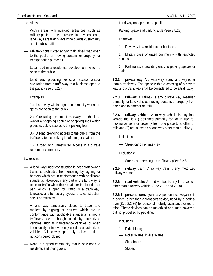### American National Standard ANSI D-16.1 – 2007

Inclusions:

- Within areas with guarded entrances, such as military posts or private residential developments, land ways are trafficways if the guards customarily admit public traffic
- Privately constructed and/or maintained road open to the public for moving persons or property for transportation purposes
- Local road in a residential development, which is open to the public
- Land way providing vehicular access and/or circulation from a trafficway to a business open to the public (See 2.5.22)

Examples:

1.) Land way within a gated community when the gates are open to the public

2.) Circulating system of roadways in the land way of a shopping center or shopping mall which provides public access to the parking lots

3.) A road providing access to the public from the trafficway to the parking lot of a major chain store

4.) A road with unrestricted access in a private retirement community

Exclusions:

- A land way under construction is not a trafficway if traffic is prohibited from entering by signing or barriers which are in conformance with applicable standards. However, if any part of the land way is open to traffic while the remainder is closed, that part which is open for traffic is a trafficway. Likewise, any temporary bypass of a construction site is a trafficway.
- A land way temporarily closed to travel and marked by signing or barriers which are in conformance with applicable standards is not a trafficway even though used by authorized vehicles, such as maintenance vehicles, or when intentionally or inadvertently used by unauthorized vehicles. A land way open only to local traffic is not considered closed.
- Road in a gated community that is only open to residents and their guests

— Land way not open to the public

— Parking space and parking aisle (See 2.5.22)

Examples:

1.) Driveway to a residence or business

2.) Military base or gated community with restricted access

3.) Parking aisle providing entry to parking spaces or stalls

**2.2.2 private way:** A private way is any land way other than a trafficway. The space within a crossing of a private way and a trafficway shall be considered to be a trafficway.

**2.2.3 railway:** A railway is any private way reserved primarily for land vehicles moving persons or property from one place to another on rails.

**2.2.4 railway vehicle:** A railway vehicle is any land vehicle that is (1) designed primarily for, or in use for, moving persons or property from one place to another on rails and (2) not in use on a land way other than a railway.

Inclusions:

— Street car on private way

Exclusions:

— Street car operating on trafficway (See 2.2.8)

**2.2.5 railway train:** A railway train is any motorized railway vehicle.

**2.2.6 road vehicle:** A road vehicle is any land vehicle other than a railway vehicle. (See 2.2.7 and 2.2.8)

**2.2.6.1 personal conveyance:** A personal conveyance is a device, other than a transport device, used by a pedestrian (See 2.2.36) for personal mobility assistance or recreation. These devices can be motorized or human powered, but not propelled by pedaling.

Inclusions:

- 1.) Rideable toys
- Roller skates, in-line skates
- Skateboard
- Skates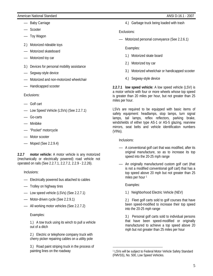### American National Standard ANSI D-16.1 - 2007

- Baby Carriage
- Scooter
- Toy Wagon
- 2.) Motorized rideable toys
- Motorized skateboard
- Motorized toy car
- 3.) Devices for personal mobility assistance
- Segway-style device
- Motorized and non-motorized wheelchair
- Handicapped scooter

Exclusions:

- Golf cart
- Low Speed Vehicle (LSVs) (See 2.2.7.1)
- Go-carts
- Minibike
- "Pocket" motorcycle
- Motor scooter
- Moped (See 2.2.9.4)

**2.2.7 motor vehicle:** A motor vehicle is any motorized (mechanically or electrically powered) road vehicle not operated on rails (See 2.2.7.1, 2.2.7.2, 2.2.9 - 2.2.26).

Inclusions:

- Electrically powered bus attached to cables
- Trolley on highway tires
- Low speed vehicle (LSVs) (See 2.2.7.1)
- Motor-driven cycle (See 2.2.9.1)
- All working motor vehicles (See 2.2.7.2)

Examples:

1.) A tow truck using its winch to pull a vehicle out of a ditch

2.) Electric or telephone company truck with cherry picker repairing cables on a utility pole

3.) Road paint striping truck in the process of painting lines on the roadway

4.) Garbage truck being loaded with trash

Exclusions:

— Motorized personal conveyance (See 2.2.6.1)

Examples:

- 1.) Motorized skate board
- 2.) Motorized toy car
- 3.) Motorized wheelchair or handicapped scooter
- 4.) Segway-style device

**2.2.7.1 low speed vehicle:** A low speed vehicle (LSV) is a motor vehicle with four or more wheels whose top speed is greater than 20 miles per hour, but not greater than 25 miles per hour.

LSVs are required to be equipped with basic items of safety equipment: headlamps, stop lamps, turn signal lamps, tail lamps, reflex reflectors, parking brake, windshields of either type AS-1 or AS-5 glazing, rearview mirrors, seat belts and vehicle identification numbers (VINs).

Inclusions:

- A conventional golf cart that was modified, after its original manufacture, so as to increase its top speed into the 20-25 mph range
- An originally manufactured custom golf cart (that is not a modified conventional golf cart) that has a top speed above 20 mph but not greater than 25 miles per hour<sup>1</sup>

Examples:

1.) Neighborhood Electric Vehicle (NEV)

2.) Fleet golf carts sold to golf courses that have been speed-modified to increase their top speed into the 20-25 mph range

3.) Personal golf carts sold to individual persons that have been speed-modified or originally manufactured to achieve a top speed above 20 mph but not greater than 25 miles per hour

 $\overline{a}$ 1 LSVs will be subject to Federal Motor Vehicle Safety Standard (FMVSS), No. 500, Low Speed Vehicles.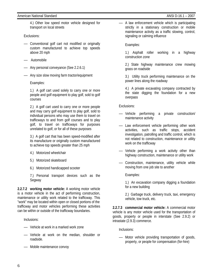4.) Other low speed motor vehicle designed for transport on local streets

Exclusions:

- Conventional golf cart not modified or originally custom manufactured to achieve top speeds above 20 mph
- Automobile
- Any personal conveyance (See 2.2.6.1)
- Any size slow moving farm tractor/equipment

### Examples:

1.) A golf cart used solely to carry one or more people and golf equipment to play golf, sold to golf courses

2.) A golf cart used to carry one or more people and may carry golf equipment to play golf, sold to individual persons who may use them to travel on trafficways to and from golf courses and to play golf, to travel on trafficways for purposes unrelated to golf, or for all of these purposes

3.) A golf cart that has been speed-modified after its manufacture or originally custom manufactured to achieve top speeds greater than 25 mph

- 4.) Motorized wheelchair
- 5.) Motorized skateboard
- 6.) Motorized handicapped scooter

7.) Personal transport devices such as the Segway

**2.2.7.2 working motor vehicle:** A working motor vehicle is a motor vehicle in the act of performing construction, maintenance or utility work related to the trafficway. This "work" may be located within open or closed portions of the trafficway and motor vehicles performing these activities can be within or outside of the trafficway boundaries.

Inclusions:

- Vehicle at work in a marked work zone
- Vehicle at work on the median, shoulder or roadside.
- Mobile maintenance convoy

— A law enforcement vehicle which is participating strictly in a stationary construction or mobile maintenance activity as a traffic slowing, control, signaling or calming influence

### Examples:

1.) Asphalt roller working in a highway construction zone

2.) State highway maintenance crew mowing grass on roadside

3.) Utility truck performing maintenance on the power lines along the roadway

4.) A private excavating company contracted by the state digging the foundation for a new overpass

Exclusions:

- Vehicle performing a private construction/ maintenance activity
- Law enforcement vehicle performing other work activities, such as traffic stops, accident investigation, patrolling and traffic control, which is not related to construction, maintenance or utility work on the trafficway
- Vehicle performing a work activity other than highway construction, maintenance or utility work
- Construction, maintenance, utility vehicle while moving from one job site to another

Examples:

1.) An excavation company digging a foundation for a new building

2.) Garbage truck, delivery truck, taxi, emergency vehicle, tow truck, etc.

**2.2.7.3 commercial motor vehicle:** A commercial motor vehicle is any motor vehicle used for the transportation of goods, property or people in interstate (See 2.9.2) or intrastate (2.9.3) commerce.

Inclusions:

— Motor vehicle providing transportation of goods, property, or people for compensation (for-hire)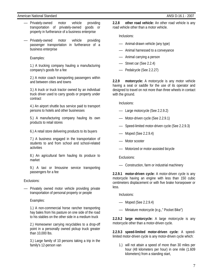- Privately-owned motor vehicle providing transportation of privately-owned goods or property in furtherance of a business enterprise
- Privately-owned motor vehicle providing passenger transportation in furtherance of a business enterprise

### Examples:

1.) A trucking company hauling a manufacturing company's goods for a fee

2.) A motor coach transporting passengers within and between cities and towns

3.) A truck or truck tractor owned by an individual truck driver used to carry goods or property under contract

4.) An airport shuttle bus service paid to transport persons to hotels and other businesses

5.) A manufacturing company hauling its own products to retail stores

6.) A retail store delivering products to its buyers

7.) A business engaged in the transportation of students to and from school and school-related activities

8.) An agricultural farm hauling its produce to market

9.) A taxi or limousine service transporting passengers for a fee

Exclusions:

— Privately owned motor vehicle providing private transportation of personal property or people

Examples:

1.) A non-commercial horse rancher transporting hay bales from his pasture on one side of the road to his stables on the other side in a medium truck

2.) Homeowner carrying recyclables to a drop-off point in a personally owned pickup truck greater than 10,000 lbs.

3.) Large family of 10 persons taking a trip in the family's 12-person van

**2.2.8 other road vehicle:** An other road vehicle is any road vehicle other than a motor vehicle.

Inclusions:

- Animal-drawn vehicle (any type)
- Animal harnessed to a conveyance
- Animal carrying a person
- Street car (See 2.2.4)
- Pedalcycle (See 2.2.27)

**2.2.9 motorcycle:** A motorcycle is any motor vehicle having a seat or saddle for the use of its operator and designed to travel on not more than three wheels in contact with the ground.

Inclusions:

- Large motorcycle (See 2.2.9.2)
- Motor-driven cycle (See 2.2.9.1)
- Speed-limited motor-driven cycle (See 2.2.9.3)
- Moped (See 2.2.9.4)
- Motor scooter
- Motorized or motor-assisted bicycle

Exclusions:

— Construction, farm or industrial machinery

**2.2.9.1 motor-driven cycle:** A motor-driven cycle is any motorcycle having an engine with less than 150 cubic centimeters displacement or with five brake horsepower or less.

Inclusions:

- Moped (See 2.2.9.4)
- Miniature motorcycle (e.g.," Pocket Bike")

**2.2.9.2 large motorcycle:** A large motorcycle is any motorcycle other than a motor-driven cycle.

**2.2.9.3 speed-limited motor-driven cycle:** A speedlimited motor-driven cycle is any motor-driven cycle which:

1.) will not attain a speed of more than 30 miles per hour (48 kilometers per hour) in one mile (1.609 kilometers) from a standing start,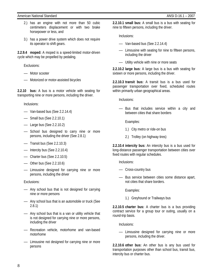- 2.) has an engine with not more than 50 cubic centimeters displacement or with two brake horsepower or less, and
- 3.) has a power drive system which does not require its operator to shift gears.

**2.2.9.4 moped:** A moped is a speed-limited motor-driven cycle which may be propelled by pedaling.

Exclusions:

- Motor scooter
- Motorized or motor-assisted bicycles

**2.2.10 bus:** A bus is a motor vehicle with seating for transporting nine or more persons, including the driver.

Inclusions:

- Van-based bus (See 2.2.14.4)
- Small bus (See 2.2.10.1)
- Large bus (See 2.2.10.2)
- School bus designed to carry nine or more persons, including the driver (See 2.8.1)
- Transit bus (See 2.2.10.3)
- Intercity bus (See 2.2.10.4)
- Charter bus (See 2.2.10.5)
- Other bus (See 2.2.10.6)
- Limousine designed for carrying nine or more persons, including the driver

Exclusions:

- Any school bus that is not designed for carrying nine or more persons
- Any school bus that is an automobile or truck (See 2.8.1)
- Any school bus that is a van or utility vehicle that is not designed for carrying nine or more persons, including the driver
- Recreation vehicle, motorhome and van-based motorhome
- Limousine not designed for carrying nine or more persons

**2.2.10.1 small bus:** A small bus is a bus with seating for nine to fifteen persons, including the driver.

Inclusions:

- Van-based bus (See 2.2.14.4)
- Limousine with seating for nine to fifteen persons, including the driver
- Utility vehicle with nine or more seats

**2.2.10.2 large bus:** A large bus is a bus with seating for sixteen or more persons, including the driver.

**2.2.10.3 transit bus:** A transit bus is a bus used for passenger transportation over fixed, scheduled routes within primarily urban geographical areas.

Inclusions:

— Bus that includes service within a city and between cities that share borders

Examples:

- 1.) City metro or ride-on bus
- 2.) Trolley (on highway tires)

**2.2.10.4 intercity bus:** An intercity bus is a bus used for long-distance passenger transportation between cities over fixed routes with regular schedules.

Inclusions:

- Cross-country bus
- Bus service between cities some distance apart, not cities that share borders.

Examples:

1.) Greyhound or Trailways bus

**2.2.10.5 charter bus:** A charter bus is a bus providing contract service for a group tour or outing, usually on a round-trip basis.

Inclusions:

— Limousine designed for carrying nine or more persons, including the driver.

**2.2.10.6 other bus:** An other bus is any bus used for transportation purposes other than school bus, transit bus, intercity bus or charter bus.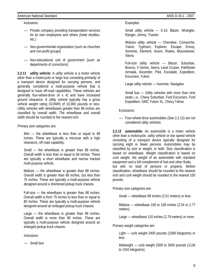#### American National Standard ANSI D-16.1 - 2007

Inclusions:

- Private company providing transportation services for its own employees and others (hotel shuttles, etc.)
- Non-governmental organization (such as churches and non-profit groups)
- Non-educational unit of government (such as departments of corrections)

**2.2.11 utility vehicle:** A utility vehicle is a motor vehicle other than a motorcycle or large bus consisting primarily of a transport device designed for carrying persons, and generally considered a multi-purpose vehicle that is designed to have off-road capabilities. These vehicles are generally four-wheel-drive (4 x 4) and have increased ground clearance. A utility vehicle typically has a gross vehicle weight rating (GVWR) of 10,000 pounds or less. Utility vehicles with wheelbases greater than 88 inches are classified by overall width. The wheelbase and overall width should be rounded to the nearest inch.

Primary size categories are:

Mini — the wheelbase is less than or equal to 88 inches. These are typically a microcar with a high clearance, off-road capability.

Small — the wheelbase is greater than 88 inches. Overall width is less than or equal to 66 inches. These are typically a short wheelbase and narrow tracked multi-purpose vehicle.

Midsize — the wheelbase is greater than 88 inches. Overall width is greater than 66 inches, but less than 75 inches. These are typically a multi-purpose vehicle designed around a shortened pickup truck chassis.

Full-size — the wheelbase is greater than 88 inches. Overall width is from 75 inches to less than or equal to 80 inches. These are typically a multi-purpose vehicle designed around an enlarged pickup truck chassis.

Large — the wheelbase is greater than 88 inches. Overall width is more than 80 inches. These are typically a multi-purpose vehicle designed around an enlarged pickup truck chassis.

Inclusions:

— Small bus

Examples:

Small utility vehicle — S-10, Blazer, Wrangler, Ranger, Jimmy, Tracker

Midsize utility vehicle — Cherokee, Comanche, Yukon, Typhoon, Explorer, Escape, Envoy, Sorrento, Element, Axiom, Rodeo, Mountaineer, Xterra

Full-size utility vehicle — Blazer, Suburban, Bronco, F-Series, Sierra, Land Cruiser, Pathfinder Armada, Ascender, Pilot, Escalade, Expedition, Excursion, Yukon

Large utility vehicle — Hummer, Navigator

Small bus — Utility vehicles with more than nine seats; i.e., Chevy Suburban, Ford Excursion, Ford Expedition, GMC Yukon XL, Chevy Tahoe

Exclusions:

**2.2.12 automobile:** An automobile is a motor vehicle other than a motorcycle, utility vehicle or low speed vehicle consisting of a transport device typically designed for carrying eight or fewer persons. Automobiles may be classified by size or weight, or both. Size classification is based on wheelbase. Weight classification is based on curb weight, the weight of an automobile with standard equipment and a full complement of fuel and other fluids, but with no load of persons or property. Before classification, wheelbase should be rounded to the nearest inch and curb weight should be rounded to the nearest 100 pounds.

Primary size categories are:

Small — wheelbase 99 inches (2.51 meters) or less

Midsize — wheelbase 100 to 109 inches (2.54 to 2.77 meters)

Large — wheelbase 110 inches (2.79 meters) or more

Primary weight categories are:

Light — curb weight 2400 pounds (1089 kilograms) or less

Midweight — curb weight 2500 to 3400 pounds (1134 to 1542 kilograms)

<sup>—</sup> Four-wheel-drive automobiles (See 2.2.12) are not considered utility vehicles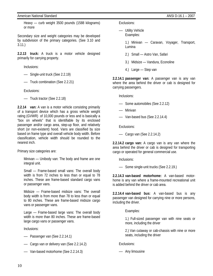#### American National Standard ANSI D-16.1 – 2007

Heavy — curb weight 3500 pounds (1588 kilograms) or more

Secondary size and weight categories may be developed by subdivision of the primary categories. (See 3.10 and 3.11.)

**2.2.13 truck:** A truck is a motor vehicle designed primarily for carrying property.

Inclusions:

- Single-unit truck (See 2.2.19)
- Truck combination (See 2.2.21)

Exclusions:

— Truck tractor (See 2.2.18)

**2.2.14 van:** A van is a motor vehicle consisting primarily of a transport device which has a gross vehicle weight rating (GVWR) of 10,000 pounds or less and is basically a "box on wheels" that is identifiable by its enclosed passenger and/or cargo area, step-up floor, and relatively short (or non-existent) hood. Vans are classified by size based on frame type and overall vehicle body width. Before classification, vehicle width should be rounded to the nearest inch.

Primary size categories are:

Minivan — Unibody van: The body and frame are one integral unit.

Small — Frame-based small vans: The overall body width is from 72 inches to less than or equal to 78 inches. These are frame-based standard cargo vans or passenger vans.

Midsize — Frame-based midsize vans: The overall body width is from more than 78 to less than or equal to 80 inches. These are frame-based midsize cargo vans or passenger vans.

Large — Frame-based large vans: The overall body width is more than 80 inches. These are frame-based large cargo vans or passenger vans.

Inclusions:

- Passenger van (See 2.2.14.1)
- Cargo van or delivery van (See 2.2.14.2)
- Van-based motorhome (See 2.2.14.3)

Exclusions:

- Utility Vehicle Examples:
	- 1.) Minivan Caravan, Voyager, Transport, Lumina
	- 2.) Small Astro Van, Safari
	- 3.) Midsize Vandura, Econoline
	- 4.) Large Step van

**2.2.14.1 passenger van:** A passenger van is any van where the area behind the driver or cab is designed for carrying passengers.

Inclusions:

- Some automobiles (See 2.2.12)
- Minivan
- Van-based bus (See 2.2.14.4)

Exclusions:

— Cargo van (See 2.2.14.2)

**2.2.14.2 cargo van:** A cargo van is any van where the area behind the driver or cab is designed for transporting cargo or operated for general commercial use.

Inclusions:

— Some single-unit trucks (See 2.2.19.)

**2.2.14.3 van-based motorhome:** A van-based motorhome is any van where a frame-mounted recreational unit is added behind the driver or cab area.

**2.2.14.4 van-based bus:** A van-based bus is any passenger van designed for carrying nine or more persons, including the driver.

Examples:

1.) Full-sized passenger van with nine seats or more, including the driver

2.) Van cutaway or cab-chassis with nine or more seats, including the driver

Exclusions:

— Any limousine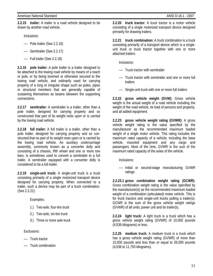**2.2.15 trailer:** A trailer is a road vehicle designed to be drawn by another road vehicle.

Inclusions:

- Pole trailer (See 2.2.16)
- Semitrailer (See 2.2.17)
- Full trailer (See 2.2.18)

**2.2.16 pole trailer:** A pole trailer is a trailer designed to be attached to the towing road vehicle by means of a reach or pole, or by being boomed or otherwise secured to the towing road vehicle, and ordinarily used for carrying property of a long or irregular shape such as poles, pipes or structural members that are generally capable of sustaining themselves as beams between the supporting connections.

**2.2.17 semitrailer:** A semitrailer is a trailer, other than a pole trailer, designed for carrying property and so constructed that part of its weight rests upon or is carried by the towing road vehicle.

**2.2.18 full trailer:** A full trailer is a trailer, other than a pole trailer, designed for carrying property and so constructed that no part of its weight rests upon or is carried by the towing road vehicle. An auxiliary undercarriage assembly, commonly known as a converter dolly and consisting of a chassis, fifth wheel and one or more tow bars, is sometimes used to convert a semitrailer to a full trailer. A semitrailer equipped with a converter dolly is considered to be a full trailer.

**2.2.19 single-unit truck:** A single-unit truck is a truck consisting primarily of a single motorized transport device designed for carrying property. When connected to a trailer, such a device may be part of a truck combination. (See 2.2.21)

Examples:

- 1.) Two-axle, four-tire truck
- 2.) Two-axle, six-tire truck
- 3.) Three or more axle truck

Exclusions:

- Truck tractor
- Truck combination

**2.2.20 truck tractor:** A truck tractor is a motor vehicle consisting of a single motorized transport device designed primarily for drawing trailers.

**2.2.21 truck combination:** A truck combination is a truck consisting primarily of a transport device which is a singleunit truck or truck tractor together with one or more attached trailers.

Inclusions:

- Truck tractor with semitrailer
- Truck tractor with semitrailer and one or more full trailers
- Single-unit truck with one or more full trailers

**2.2.22 gross vehicle weight (GVW):** Gross vehicle weight is the actual weight of a road vehicle including the weight of the road vehicle, its load of persons and property, and all added equipment.

**2.2.23 gross vehicle weight rating (GVWR):** A gross vehicle weight rating is the value specified by the manufacturer as the recommended maximum loaded weight of a single motor vehicle. This rating includes the maximum rated capacity of a vehicle, including the base vehicle, mounted equipment and any cargo and passengers. Most of the time, GVWR is the sum of the maximum rated capacity of the axles of the vehicle.

Inclusions:

— Initial or second-stage manufacturing GVWR ratings

**2.2.23.1 gross combination weight rating (GCWR):** Gross combination weight rating is the value specified by the manufacturer(s) as the recommended maximum loaded weight of a combination (articulated) motor vehicle. This is for truck tractors and single-unit trucks pulling a trailer(s). GCWR is the sum of the gross vehicle weight ratings (GVWR) of all units; power unit and its trailer(s).

**2.2.24 light truck:** A light truck is a truck which has a gross vehicle weight rating (GVWR) of 10,000 pounds (4,536 kilograms) or less.

**2.2.25 medium truck:** A medium truck is a truck which has a gross vehicle weight rating (GVWR) of more than 10,000 pounds and less than or equal to 26,000 pounds (4,536 to 11,793 kilograms).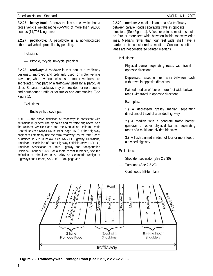**Figure 2 – Trafficway with Frontage Road (See 2.2.1, 2.2.28-2.2.33)** 

### American National Standard ANSI D-16.1 – 2007

**2.2.26 heavy truck:** A heavy truck is a truck which has a gross vehicle weight rating (GVWR) of more than 26,000 pounds (11,793 kilograms).

**2.2.27 pedalcycle:** A pedalcycle is a non-motorized other road vehicle propelled by pedaling.

Inclusions:

— Bicycle, tricycle, unicycle, pedalcar

**2.2.28 roadway:** A roadway is that part of a trafficway designed, improved and ordinarily used for motor vehicle travel or, where various classes of motor vehicles are segregated, that part of a trafficway used by a particular class. Separate roadways may be provided for northbound and southbound traffic or for trucks and automobiles (See Figure 1).

Exclusions:

— Bridle path, bicycle path

NOTE — the above definition of "roadway" is consistent with definitions in general use by police and by traffic engineers. See the Uniform Vehicle Code and the Manual on Uniform Traffic Control Devices (ANSI D6.1e-1989, page 1A-8). Other highway engineers commonly use the term "roadway" as the term "road" is defined in 2.2.33 below. See AASHO Highway Definitions, American Association of State Highway Officials (now AASHTO, American Association of State Highway and transportation Officials), January 1968. For a more recent reference, see the definition of "shoulder" in A Policy on Geometric Design of Highways and Streets, AASHTO, 1984, page 362.

**2.2.29 median:** A median is an area of a trafficway between parallel roads separating travel in opposite directions (See Figure 1). A flush or painted median should be four or more feet wide between inside roadway edge lines. Medians fewer than four feet wide shall have a barrier to be considered a median. Continuous left-turn lanes are not considered painted medians.

Inclusions:

- Physical barrier separating roads with travel in opposite directions
- Depressed, raised or flush area between roads with travel in opposite directions
- Painted median of four or more feet wide between roads with travel in opposite directions

Examples:

1.) A depressed grassy median separating directions of travel of a divided highway

2.) A median with a concrete traffic barrier, guardrail or other physical barrier, separating roads of a multi-lane divided highway

3.) A flush painted median of four or more feet of a divided highway

Exclusions:

- Shoulder, separator (See 2.2.30)
- Turn lane (See 2.5.23)
- Continuous left-turn lane

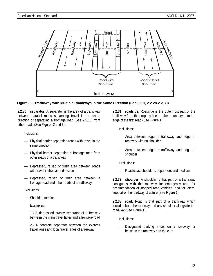

### **Figure 3 – Trafficway with Multiple Roadways in the Same Direction (See 2.2.1, 2.2.28-2.2.33)**

**2.2.30 separator:** A separator is the area of a trafficway between parallel roads separating travel in the same direction or separating a frontage road (See 2.5.18) from other roads (See Figures 2 and 3).

Inclusions:

- Physical barrier separating roads with travel in the same direction
- Physical barrier separating a frontage road from other roads of a trafficway
- Depressed, raised or flush area between roads with travel in the same direction
- Depressed, raised or flush area between a frontage road and other roads of a trafficway

Exclusions:

Shoulder, median

Examples:

1.) A depressed grassy separator of a freeway between the main travel lanes and a frontage road

2.) A concrete separator between the express travel lanes and local travel lanes of a freeway

**2.2.31 roadside:** Roadside is the outermost part of the trafficway from the property line or other boundary in to the edge of the first road (See Figure 1).

Inclusions:

- Area between edge of trafficway and edge of roadway with no shoulder
- Area between edge of trafficway and edge of shoulder

Exclusions:

— Roadways, shoulders, separators and medians

**2.2.32 shoulder:** A shoulder is that part of a trafficway contiguous with the roadway for emergency use, for accommodation of stopped road vehicles, and for lateral support of the roadway structure (See Figure 1).

**2.2.33 road:** Road is that part of a trafficway which includes both the roadway and any shoulder alongside the roadway (See Figure 1).

Inclusions:

— Designated parking areas on a roadway or between the roadway and the curb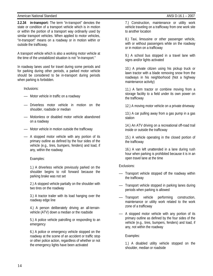#### American National Standard ANSI D-16.1 – 2007

**2.2.34 in-transport:** The term "in-transport" denotes the state or condition of a transport vehicle which is in motion or within the portion of a transport way ordinarily used by similar transport vehicles. When applied to motor vehicles, "in-transport" means on a roadway or in motion within or outside the trafficway.

A transport vehicle which is also a working motor vehicle at the time of the unstabilized situation is not "in-transport."

In roadway lanes used for travel during some periods and for parking during other periods, a parked motor vehicle should be considered to be in-transport during periods when parking is forbidden.

Inclusions:

- Motor vehicle in traffic on a roadway
- Driverless motor vehicle in motion on the shoulder, roadside or median
- Motionless or disabled motor vehicle abandoned on a roadway
- Motor vehicle in motion outside the trafficway
- A stopped motor vehicle with any portion of its primary outline as defined by the four sides of the vehicle (e.g., tires, bumpers, fenders) and load, if any, within the roadway

### Examples:

1.) A driverless vehicle previously parked on the shoulder begins to roll forward because the parking brake was not set

2.) A stopped vehicle partially on the shoulder with two tires on the roadway

3.) A tractor trailer with its load hanging over the roadway edge line

4.) A person deliberately driving an all-terrainvehicle (ATV) down a median or the roadside

5.) A police vehicle patrolling or responding to an emergency

6.) A police or emergency vehicle stopped on the roadway at the scene of an accident or traffic stop or other police action, regardless of whether or not the emergency lights have been activated

7.) Construction, maintenance or utility work vehicle traveling on a trafficway from one work site to another location

8.) Taxi, limousine or other passenger vehicle, with or without passengers while on the roadway or in motion on a trafficway

9.) A school bus stopped in a travel lane with signs and/or lights activated

10.) A private citizen using his pickup truck or lawn tractor with a blade removing snow from the roadways in his neighborhood (Not a highway maintenance activity)

11.) A farm tractor or combine moving from a storage facility to a field under its own power on the trafficway

12.) A moving motor vehicle on a private driveway

13.) A car pulling away from a gas pump in a gas station

14.) An ATV driving on a recreational off-road trail inside or outside the trafficway

15.) A vehicle operating in the closed portion of the trafficway

16.) A van left unattended in a lane during rush hour when parking is prohibited because it is in an open travel lane at the time

Exclusions:

- Transport vehicle stopped off the roadway within the trafficway
- Transport vehicle stopped in parking lanes during periods when parking is allowed
- Transport vehicle performing construction, maintenance or utility work related to the work zone of a trafficway
- A stopped motor vehicle with any portion of its primary outline as defined by the four sides of the vehicle (e.g., tires, bumpers, fenders) and load, if any, not within the roadway

Examples:

1.) A disabled utility vehicle stopped on the shoulder, median or roadside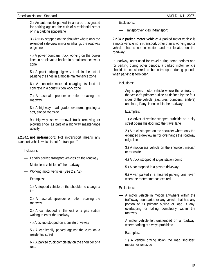#### American National Standard ANSI D-16.1 - 2007

2.) An automobile parked in an area designated for parking against the curb of a residential street or in a parking space/lane

3.) A truck stopped on the shoulder where only the extended side-view mirror overhangs the roadway edge line

4.) A power company truck working on the power lines in an elevated basket in a maintenance work zone

5.) A paint striping highway truck in the act of painting the lines in a mobile maintenance zone

6.) A concrete mixer discharging its load of concrete in a construction work zone

7.) An asphalt spreader or roller repaving the roadway

8.) A highway road grader overturns grading a soft, sloped roadside

9.) Highway snow removal truck removing or plowing snow as part of a highway maintenance activity

**2.2.34.1 not in-transport:** Not in-transport means any transport vehicle which is not "in-transport."

Inclusions:

- Legally parked transport vehicles off the roadway
- Motionless vehicles off the roadway
- Working motor vehicles (See 2.2.7.2)

Examples:

1.) A stopped vehicle on the shoulder to change a tire

2.) An asphalt spreader or roller repaving the roadway

3.) A car stopped at the exit of a gas station waiting to enter the roadway

4.) A pickup stopped on a private driveway

5.) A car legally parked against the curb on a residential street

6.) A parked truck completely on the shoulder of a road

Exclusions:

— Transport vehicles in-transport

**2.2.34.2 parked motor vehicle:** A parked motor vehicle is a motor vehicle not in-transport, other than a working motor vehicle, that is not in motion and not located on the roadway.

In roadway lanes used for travel during some periods and for parking during other periods, a parked motor vehicle should be considered to be in-transport during periods when parking is forbidden.

Inclusions:

— Any stopped motor vehicle where the entirety of the vehicle's primary outline as defined by the four sides of the vehicle (e.g., tires, bumpers, fenders) and load, if any, is not within the roadway

Examples:

1.) A driver of vehicle stopped curbside on a city street opens his door into the travel lane

2.) A truck stopped on the shoulder where only the extended side-view mirror overhangs the roadway edge line

3.) A motionless vehicle on the shoulder, median or roadside

4.) A truck stopped at a gas station pump

5.) A car stopped in a private driveway

6.) A van parked in a metered parking lane, even when the meter time has expired

### Exclusions:

- A motor vehicle in motion anywhere within the trafficway boundaries or any vehicle that has any portion of its primary outline or load, if any, overlapping or falling completely within the roadway
- A motor vehicle left unattended on a roadway, where parking is always prohibited

Examples:

1.) A vehicle driving down the road shoulder, median or roadside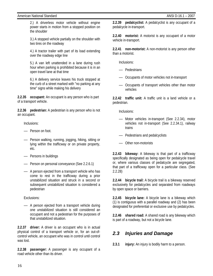#### American National Standard ANSI D-16.1 – 2007

2.) A driverless motor vehicle without engine power starts in motion from a stopped position on the shoulder

3.) A stopped vehicle partially on the shoulder with two tires on the roadway

4.) A tractor trailer with part of its load extending over the roadway edge line

5.) A van left unattended in a lane during rush hour when parking is prohibited because it is in an open travel lane at that time

6.) A delivery service leaves his truck stopped at the curb of a street marked with "no parking at any time" signs while making his delivery

**2.2.35 occupant:** An occupant is any person who is part of a transport vehicle.

**2.2.36 pedestrian:** A pedestrian is any person who is not an occupant.

Inclusions:

- Person on foot.
- Person walking, running, jogging, hiking, sitting or lying within the trafficway or on private property, etc.
- Persons in buildings
- Person on personal conveyance (See 2.2.6.1)
- A person ejected from a transport vehicle who has come to rest in the trafficway during a prior unstabilized situation and struck in a second or subsequent unstabilized situation is considered a pedestrian

Exclusions:

— A person ejected from a transport vehicle during one unstabilized situation is still considered an occupant and not a pedestrian for the purposes of that unstabilized situation.

**2.2.37 driver:** A driver is an occupant who is in actual physical control of a transport vehicle or, for an out-ofcontrol vehicle, an occupant who was in control until control was lost.

**2.2.38 passenger:** A passenger is any occupant of a road vehicle other than its driver.

**2.2.39 pedalcyclist:** A pedalcyclist is any occupant of a pedalcycle in-transport.

**2.2.40 motorist:** A motorist is any occupant of a motor vehicle in-transport.

**2.2.41 non-motorist:** A non-motorist is any person other than a motorist.

Inclusions:

- Pedestrians
- Occupants of motor vehicles not in-transport
- Occupants of transport vehicles other than motor vehicles

**2.2.42 traffic unit:** A traffic unit is a land vehicle or a pedestrian.

Inclusions:

- Motor vehicles in-transport (See 2.2.34), motor vehicles not in-transport (See 2.2.34.1), railway trains
- Pedestrians and pedalcyclists
- Other non-motorists

**2.2.43 bikeway:** A bikeway is that part of a trafficway specifically designated as being open for pedalcycle travel or, where various classes of pedalcycle are segregated, that part of a trafficway open for a particular class. (See 2.2.28)

**2.2.44 bicycle trail:** A bicycle trail is a bikeway reserved exclusively for pedalcycles and separated from roadways by open space or barriers.

**2.2.45 bicycle lane:** A bicycle lane is a bikeway which (1) is contiguous with a parallel roadway and (2) has been designated for preferential or exclusive use by pedalcycles.

**2.2.46 shared road:** A shared road is any bikeway which is part of a roadway, but not a bicycle lane.

### *2.3 Injuries and Damage*

**2.3.1 injury:** An injury is bodily harm to a person.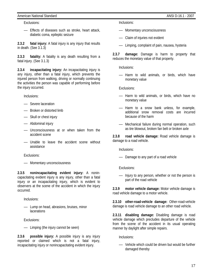### American National Standard ANSI D-16.1 - 2007

Exclusions:

— Effects of diseases such as stroke, heart attack, diabetic coma, epileptic seizure

**2.3.2 fatal injury:** A fatal injury is any injury that results in death. (See 3.1.3)

**2.3.3 fatality:** A fatality is any death resulting from a fatal injury. (See 3.1.3)

**2.3.4 incapacitating injury:** An incapacitating injury is any injury, other than a fatal injury, which prevents the injured person from walking, driving or normally continuing the activities the person was capable of performing before the injury occurred.

Inclusions:

- Severe laceration
- Broken or distorted limb
- Skull or chest injury
- Abdominal injury
- Unconsciousness at or when taken from the accident scene
- Unable to leave the accident scene without assistance

Exclusions:

— Momentary unconsciousness

**2.3.5 nonincapacitating evident injury:** A nonincapacitating evident injury is any injury, other than a fatal injury or an incapacitating injury, which is evident to observers at the scene of the accident in which the injury occurred.

Inclusions:

— Lump on head, abrasions, bruises, minor **lacerations** 

Exclusions:

— Limping (the injury cannot be seen)

**2.3.6 possible injury:** A possible injury is any injury reported or claimed which is not a fatal injury, incapacitating injury or nonincapacitating evident injury.

Inclusions:

- Momentary unconsciousness
- Claim of injuries not evident
- Limping, complaint of pain, nausea, hysteria

**2.3.7 damage:** Damage is harm to property that reduces the monetary value of that property.

Inclusions:

— Harm to wild animals, or birds, which have monetary value

Exclusions:

- Harm to wild animals, or birds, which have no monetary value
- Harm to a snow bank unless, for example, additional snow removal costs are incurred because of the harm
- Mechanical failure during normal operation, such as tire blowout, broken fan belt or broken axle

**2.3.8 road vehicle damage:** Road vehicle damage is damage to a road vehicle.

Inclusions:

— Damage to any part of a road vehicle

Exclusions:

— Injury to any person, whether or not the person is part of the road vehicle

**2.3.9 motor vehicle damage:** Motor vehicle damage is road vehicle damage to a motor vehicle.

**2.3.10 other-road-vehicle damage:** Other-road-vehicle damage is road vehicle damage to an other road vehicle.

**2.3.11 disabling damage:** Disabling damage is road vehicle damage which precludes departure of the vehicle from the scene of the accident in its usual operating manner by daylight after simple repairs.

Inclusions:

— Vehicle which could be driven but would be further damaged thereby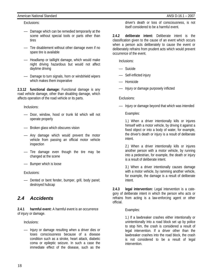### American National Standard ANSI D-16.1 – 2007

### Exclusions:

- Damage which can be remedied temporarily at the scene without special tools or parts other than tires
- Tire disablement without other damage even if no spare tire is available
- Headlamp or taillight damage, which would make night driving hazardous but would not affect daytime driving
- Damage to turn signals, horn or windshield wipers which makes them inoperative

**2.3.12 functional damage:** Functional damage is any road vehicle damage, other than disabling damage, which affects operation of the road vehicle or its parts.

Inclusions:

- Door, window, hood or trunk lid which will not operate properly
- Broken glass which obscures vision
- Any damage which would prevent the motor vehicle from passing an official motor vehicle inspection
- Tire damage even though the tire may be changed at the scene
- Bumper which is loose

Exclusions:

— Dented or bent fender, bumper, grill, body panel; destroyed hubcap

### *2.4 Accidents*

**2.4.1 harmful event:** A harmful event is an occurrence of injury or damage.

Inclusions:

— Injury or damage resulting when a driver dies or loses consciousness because of a disease condition such as a stroke, heart attack, diabetic coma or epileptic seizure. In such a case the immediate effect of the disease, such as the

driver's death or loss of consciousness, is not itself considered to be a harmful event.

**2.4.2 deliberate intent:** Deliberate intent is the classification given to the cause of an event which occurs when a person acts deliberately to cause the event or deliberately refrains from prudent acts which would prevent occurrence of the event.

Inclusions:

- Suicide
- Self-inflicted injury
- Homicide
- Injury or damage purposely inflicted

Exclusions:

— Injury or damage beyond that which was intended

Examples:

1.) When a driver intentionally kills or injures himself with a motor vehicle, by driving it against a fixed object or into a body of water, for example, the driver's death or injury is a result of deliberate intent.

2.) When a driver intentionally kills or injures another person with a motor vehicle, by running into a pedestrian, for example, the death or injury is a result of deliberate intent.

3.) When a driver intentionally causes damage with a motor vehicle, by ramming another vehicle, for example, the damage is a result of deliberate intent.

**2.4.3 legal intervention:** Legal intervention is a category of deliberate intent in which the person who acts or refrains from acting is a law-enforcing agent or other official.

### Examples:

1.) If a lawbreaker crashes either intentionally or unintentionally into a road block set up by police to stop him, the crash is considered a result of legal intervention. If a driver other than the lawbreaker crashes into the road block, the crash is not considered to be a result of legal intervention.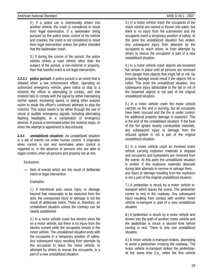2.) If a police car is intentionally driven into another vehicle, the crash is considered to result from legal intervention. If a lawbreaker being pursued by the police loses control of his vehicle and crashes, the crash is not considered to result from legal intervention unless the police intended that the lawbreaker crash.

3.) If during the course of the pursuit, the police vehicle strikes a road vehicle other than the subject of the pursuit, a non-motorist or property, then that harmful event is not legal intervention.

**2.4.3.1 police pursuit:** A police pursuit is an event that is initiated when a law enforcement officer, operating an authorized emergency vehicle, gives notice to stop to a motorist the officer is attempting to contact, and that motorist fails to comply with the signal by either maintaining his/her speed, increasing speed, or taking other evasive action to elude the officer's continued attempts to stop the motorist. This notice needs to be either through the use of visual or audible emergency signals, including alternating flashing headlights, or a combination of emergency devices. A pursuit is terminated when the motorist stops, or when the attempt to apprehend is discontinued.

**2.4.4 unstabilized situation:** An unstabilized situation is a set of events not under human control. It originates when control is lost and terminates when control is regained or, in the absence of persons who are able to regain control, when all persons and property are at rest.

Exclusions:

— Sets of events which are the result of deliberate intent or legal intervention

### Examples:

1.) If intentional acts cause injury or damage beyond that reasonably to be expected from the acts, the unexpected injury or damage is not the result of deliberate intent. There is, therefore, an unstabilized situation unless the contrary can be clearly established.

2.) In a motor vehicle crash live electric wires fall on a motor vehicle, but there is no injury from the electric current while the occupants remain in the motor vehicle. The unstabilized situation ends with the occupants in a temporary position of safety. Any subsequent injury resulting from attempts by the occupants to leave the motor vehicle, or attempts by others to rescue the occupants, is a part of a new unstabilized situation.

3.) In a motor vehicle crash the occupants of the motor vehicle are carried or thrown into water, but there is no injury from the submersion and the occupants reach a temporary position of safety. At this point the unstabilized situation has ended. Any subsequent injury from attempts by the occupants to reach shore, or from attempts by others to rescue the occupants is part of a new unstabilized situation.

4.) In a motor vehicle crash objects are loosened but remain in place until all persons are removed from danger from objects that might fall or roll. No property damage would result if the objects fell or rolled. This ends the unstabilized situation. Any subsequent injury attributable to the fall or roll of the loosened objects is not part of the original unstabilized situation.

5.) In a motor vehicle crash the motor vehicle catches on fire and is burning, but all occupants have been rescued and the fire is under control. No additional property damage is expected. This is the end of the unstabilized situation. If the heat of the fire ignites nearby combustible materials, any subsequent injury or damage from the induced ignition is not a part of the original unstabilized situation.

6.) In a motor vehicle crash an involved motor vehicle carrying explosive materials is stopped and occupants and bystanders are removed from the scene. At this point the unstabilized situation is ended. If the explosive materials detonate during later attempts to remove or salvage them, any injury or damage resulting from the explosion is not a part of the original unstabilized situation.

7.) A pedestrian is struck by a motor vehicle intransport which leaves the scene. The pedestrian comes to rest in the roadway. Any subsequent injury resulting from contact with another motor vehicle in-transport is part of a new unstabilized situation.

8.) A pedestrian is struck by a motor vehicle and thrown into the path of another motor vehicle and the pedestrian is struck a second time before coming to rest. There is only one unstabilized situation.

9.) A motor vehicle in-transport brakes, attempting to avoid a pedestrian crossing the roadway. The motor vehicle in-transport strikes the pedestrian. At the same time (i.e., when the first vehicle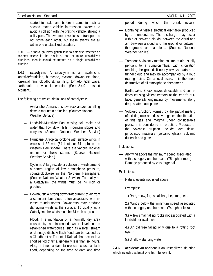started to brake and before it came to rest), a second motor vehicle in-transport swerves to avoid a collision with the braking vehicle, striking a utility pole. The two motor vehicles in-transport do not strike each other, but these events are all within one unstabilized situation.

NOTE — if thorough investigation fails to establish whether an accident scene is the result of one or more unstabilized situations, then it should be treated as a single unstabilized situation.

**2.4.5 cataclysm:** A cataclysm is an avalanche, landslide/mudslide, hurricane, cyclone, downburst, flood, torrential rain, cloudburst, lightning, tornado, tidal wave, earthquake or volcanic eruption (See 2.4.9 transport accident).

The following are typical definitions of cataclysms:

- Avalanche: A mass of snow, rock and/or ice falling down a mountain or incline. (Source: National Weather Service)
- Landslide/Mudslide: Fast moving soil, rocks and water that flow down hills, mountain slopes and canyons. (Source: National Weather Service)
- Hurricane: A tropical cyclone with surface winds in excess of 32 m/s (64 knots or 74 mph) in the Western Hemisphere. There are various regional names for these storms. (Source: National Weather Service.)
- Cyclone: A large-scale circulation of winds around a central region of low atmospheric pressure, counterclockwise in the Northern Hemisphere. (Source: National Weather Service) To qualify as a Cataclysm, the winds must be 74 mph or greater.
- Downburst: A strong downdraft current of air from a cumulonimbus cloud, often associated with intense thunderstorms. Downdrafts may produce damaging winds at the surface. To qualify as a Cataclysm, the winds must be 74 mph or greater.
- Flood: The inundation of a normally dry area caused by an increased water level in an established watercourse, such as a river, stream or drainage ditch. A flash flood can be caused by a Cloudburst or Torrential Rainfall that occurs in a short period of time, generally less than six hours. Also, at times a dam failure can cause a flash flood, depending on the type of dam and time

period during which the break occurs.

- Lightning: A visible electrical discharge produced by a thunderstorm. The discharge may occur within or between clouds, between the cloud and air, between a cloud and the ground or between the ground and a cloud. (Source: National Weather Service)
- Tornado: A violently rotating column of air, usually pendant to a cumulonimbus, with circulation reaching the ground. It nearly always starts as a funnel cloud and may be accompanied by a loud roaring noise. On a local scale, it is the most destructive of all atmospheric phenomena.
- Earthquake: Shock waves detectable and sometimes causing violent tremors at the earth's surface, generally originating by movements along deep seated fault planes.
- Volcanic Eruption: Formed by the partial melting of existing rock and dissolved gases; the liberation of this gas and magma under considerable pressure is considered an eruption. Products of the volcanic eruption include lava flows, pyroclastic materials (volcanic glass), volcanic dust/ash and gases.

Inclusions:

- Any wind above the minimum speed associated with a category one hurricane (75 mph or more)
- Damage produced by very large hail

Exclusions:

— Natural events not listed above

Examples:

1.) Rain, snow, fog, small hail, ice, smog, etc.

2.) Winds below the minimum speed associated with a category one hurricane (74 mph or less)

3.) A few small falling rocks not associated with a landslide or avalanche

4.) An old tree falling only due to a rotting root system

5.) Shallow standing water

**2.4.6 accident:** An accident is an unstabilized situation which includes at least one harmful event.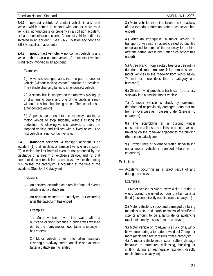### American National Standard ANSI D-16.1 - 2007

**2.4.7 contact vehicle:** A contact vehicle is any road vehicle which comes in contact with one or more road vehicles, non-motorists or property in a collision accident, or has a noncollision accident. A contact vehicle is directly involved in an accident. (See 2.6.2 Collision accident and 2.6.3 Noncollision accident.)

**2.4.8 noncontact vehicle:** A noncontact vehicle is any vehicle other than a contact vehicle. A noncontact vehicle is indirectly involved in an accident.

Examples:

1.) A vehicle changes lanes into the path of another vehicle (without making contact) causing an accident. The vehicle changing lanes is a noncontact vehicle.

2.) A school bus is stopped on the roadway picking up or discharging pupils and one of the pupils is struck without the school bus being struck. The school bus is a noncontact vehicle.

3.) A pedestrian darts into the roadway causing a motor vehicle to stop suddenly without striking the pedestrian. A following vehicle swerves to avoid the stopped vehicle and collides with a fixed object. The first vehicle is a noncontact vehicle.

**2.4.9 transport accident:** A transport accident is an accident (1) that involves a transport vehicle in-transport, (2) in which the first harmful event is not produced by the discharge of a firearm or explosive device, and (3) that does not directly result from a cataclysm where the timing is such that the cataclysm is occurring at the time of the accident. (See 2.4.5 Cataclysm)

Inclusions:

- An accident occurring as a result of natural events which is not a cataclysm.
- An accident related to a cataclysm, but occurring after the cataclysm has ended

Examples:

1.) Motor vehicle driven into water after a hurricane or flood because a bridge was washed out by the hurricane or flood (after a cataclysm has ended)

2.) Motor vehicle driven into fallen materials covering a roadway after a landslide or avalanche (after a cataclysm has ended)

3.) Motor vehicle driven into fallen tree in roadway after a tornado or hurricane (after a cataclysm has ended)

4.) After an earthquake, a motor vehicle intransport drives into a hazard created by buckled or collapsed features of the roadway left behind after the earthquake is over (after a cataclysm has ended)

5.) A tree branch from a rotted tree or a tree with a deteriorated root structure falls across several motor vehicles in the roadway from winds below 74 mph or more (less than a category one hurricane)

6.) 25 mph wind propels a trash can from a city sidewalk into a passing motor vehicle

7.) A motor vehicle is struck by loosened, deteriorated or previously damaged parts that fall from an overpass as it passes under (there is no cataclysm)

8.) The scaffolding at a building under construction collapses and falls on a motor vehicle traveling on the roadway adjacent to the building (there is no cataclysm)

9.) Power lines or overhead traffic signal falling on a motor vehicle in-transport (there is no cataclysm)

Exclusions:

— Accidents occurring as a direct result of and during a cataclysm

Examples:

1.) Motor vehicle is swept away while a bridge it was crossing is washed out during a hurricane or flood (accident directly results from a cataclysm)

2.) Motor vehicle is struck and damaged by falling materials (rock and earth or snow) of significant size or amount to be a landslide or avalanche (accident directly results from a cataclysm)

3.) Motor vehicle on roadway is struck by a windblown tree during a tornado or winds of 74 mph or more (accident directly results from a cataclysm) 4.) A motor vehicle in-transport suffers damage because of structures collapsing, buckling or shifting during an earthquake (accident directly results from a cataclysm)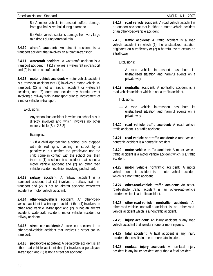5.) A motor vehicle in-transport suffers damage from golf-ball-sized hail during a tornado

6.) Motor vehicle sustains damage from very large rain drops during torrential rain

**2.4.10 aircraft accident:** An aircraft accident is a transport accident that involves an aircraft in-transport.

**2.4.11 watercraft accident:** A watercraft accident is a transport accident if it (1) involves a watercraft in-transport and (2) is not an aircraft accident.

**2.4.12 motor vehicle accident:** A motor vehicle accident is a transport accident that (1) involves a motor vehicle intransport, (2) is not an aircraft accident or watercraft accident, and (3) does not include any harmful event involving a railway train in-transport prior to involvement of a motor vehicle in-transport.

Exclusions:

— Any school bus accident in which no school bus is directly involved and which involves no other motor vehicle (See 2.8.2)

Examples:

1.) If a child approaching a school bus, stopped with its red lights flashing, is struck by a pedalcycle, but neither the pedalcycle nor the child come in contact with the school bus, then there is (1) a school bus accident that is not a motor vehicle accident and (2) an other road vehicle accident (collision involving pedestrian).

**2.4.13 railway accident:** A railway accident is a transport accident that (1) involves a railway train intransport and (2) is not an aircraft accident, watercraft accident or motor vehicle accident.

**2.4.14 other-road-vehicle accident:** An other-roadvehicle accident is a transport accident that (1) involves an other road vehicle in-transport and (2) is not an aircraft accident, watercraft accident, motor vehicle accident or railway accident.

**2.4.15 street car accident:** A street car accident is an other-road-vehicle accident that involves a street car intransport.

**2.4.16 pedalcycle accident:** A pedalcycle accident is an other-road-vehicle accident that (1) involves a pedalcycle in-transport and (2) is not a street car accident.

**2.4.17 road vehicle accident:** A road vehicle accident is a transport accident that is either a motor vehicle accident or an other-road-vehicle accident.

**2.4.18 traffic accident:** A traffic accident is a road vehicle accident in which (1) the unstabilized situation originates on a trafficway or (2) a harmful event occurs on a trafficway.

Exclusions:

— A road vehicle in-transport has both its unstabilized situation and harmful events on a private way

**2.4.19 nontraffic accident:** A nontraffic accident is a road vehicle accident which is not a traffic accident.

Inclusions:

— A road vehicle in-transport has both its unstabilized situation and harmful events on a private way

**2.4.20 road vehicle traffic accident:** A road vehicle traffic accident is a traffic accident.

**2.4.21 road vehicle nontraffic accident:** A road vehicle nontraffic accident is a nontraffic accident.

**2.4.22 motor vehicle traffic accident:** A motor vehicle traffic accident is a motor vehicle accident which is a traffic accident.

**2.4.23 motor vehicle nontraffic accident:** A motor vehicle nontraffic accident is a motor vehicle accident which is a nontraffic accident.

**2.4.24 other-road-vehicle traffic accident:** An otherroad-vehicle traffic accident is an other-road-vehicle accident which is a traffic accident.

**2.4.25 other-road-vehicle nontraffic accident:** An other-road-vehicle nontraffic accident is an other-roadvehicle accident which is a nontraffic accident.

**2.4.26 injury accident:** An injury accident is any road vehicle accident that results in one or more injuries.

**2.4.27 fatal accident:** A fatal accident is any injury accident that results in one or more fatal injuries.

**2.4.28 nonfatal injury accident:** A non-fatal injury accident is any injury accident other than a fatal accident.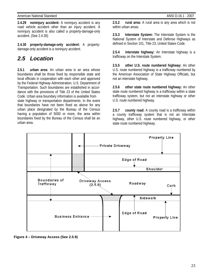#### American National Standard ANSI D-16.1 - 2007

**2.4.29 noninjury accident:** A noninjury accident is any road vehicle accident other than an injury accident. A noninjury accident is also called a property-damage-only accident. (See 2.4.30)

**2.4.30 property-damage-only accident:** A propertydamage-only accident is a noninjury accident.

### *2.5 Location*

**2.5.1 urban area:** An urban area is an area whose boundaries shall be those fixed by responsible state and local officials in cooperation with each other and approved by the Federal Highway Administration, U.S. Department of Transportation. Such boundaries are established in accordance with the provisions of Title 23 of the United States Code. Urban area boundary information is available from state highway or transportation departments. In the event that boundaries have not been fixed as above for any urban place designated by the Bureau of the Census having a population of 5000 or more, the area within boundaries fixed by the Bureau of the Census shall be an urban area.

**2.5.2 rural area:** A rural area is any area which is not within urban areas.

**2.5.3 Interstate System:** The Interstate System is the National System of Interstate and Defense Highways as defined in Section 101, Title 23, United States Code.

**2.5.4 interstate highway:** An Interstate highway is a trafficway on the Interstate System.

**2.5.5 other U.S. route numbered highway:** An other U.S. route numbered highway is a trafficway numbered by the American Association of State Highway Officials, but not an interstate highway.

**2.5.6 other state route numbered highway:** An other state route numbered highway is a trafficway within a state trafficway system, but not an interstate highway or other U.S. route numbered highway.

**2.5.7 county road:** A county road is a trafficway within a county trafficway system that is not an Interstate highway, other U.S. route numbered highway, or other state route numbered highway.



**Figure 4 – Driveway Access (See 2.5.9)**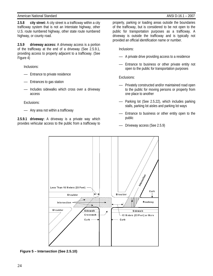**2.5.8 city street:** A city street is a trafficway within a city trafficway system that is not an Interstate highway, other U.S. route numbered highway, other state route numbered highway, or county road.

**2.5.9 driveway access:** A driveway access is a portion of the trafficway at the end of a driveway (See 2.5.9.1, providing access to property adjacent to a trafficway. (See Figure 4)

Inclusions:

- Entrance to private residence
- Entrances to gas station
- Includes sidewalks which cross over a driveway access

Exclusions:

— Any area not within a trafficway

**2.5.9.1 driveway:** A driveway is a private way which provides vehicular access to the public from a trafficway to property, parking or loading areas outside the boundaries of the trafficway, but is considered to be not open to the public for transportation purposes as a trafficway. A driveway is outside the trafficway and is typically not provided an official identification name or number.

Inclusions:

- A private drive providing access to a residence
- Entrance to business or other private entity not open to the public for transportation purposes

Exclusions:

- Privately constructed and/or maintained road open to the public for moving persons or property from one place to another
- Parking lot (See 2.5.22), which includes parking stalls, parking lot aisles and parking lot ways
- Entrance to business or other entity open to the public
- Driveway access (See 2.5.9)



**Figure 5 – Intersection (See 2.5.10)**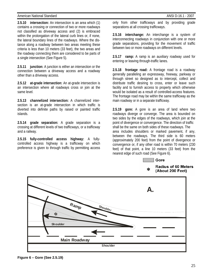#### American National Standard ANSI D-16.1 - 2007

**2.5.10 intersection:** An intersection is an area which (1) contains a crossing or connection of two or more roadways not classified as driveway access and (2) is embraced within the prolongation of the lateral curb lines or, if none, the lateral boundary lines of the roadways. Where the distance along a roadway between two areas meeting these criteria is less than 10 meters (33 feet), the two areas and the roadway connecting them are considered to be parts of a single intersection (See Figure 5).

**2.5.11 junction:** A junction is either an intersection or the connection between a driveway access and a roadway other than a driveway access.

**2.5.12 at-grade intersection:** An at-grade intersection is an intersection where all roadways cross or join at the same level.

**2.5.13 channelized intersection:** A channelized intersection is an at-grade intersection in which traffic is diverted into definite paths by raised or painted traffic islands.

**2.5.14 grade separation:** A grade separation is a crossing at different levels of two trafficways, or a trafficway and a railway.

**2.5.15 fully-controlled access highway:** A fullycontrolled access highway is a trafficway on which preference is given to through traffic by permitting access only from other trafficways and by providing grade separations at all crossing trafficways.

**2.5.16 interchange:** An interchange is a system of interconnecting roadways in conjunction with one or more grade separations, providing for the movement of traffic between two or more roadways on different levels.

**2.5.17 ramp:** A ramp is an auxiliary roadway used for entering or leaving through-traffic lanes.

**2.5.18 frontage road:** A frontage road is a roadway generally paralleling an expressway, freeway, parkway or through street so designed as to intercept, collect and distribute traffic desiring to cross, enter or leave such facility and to furnish access to property which otherwise would be isolated as a result of controlled-access features. The frontage road may be within the same trafficway as the main roadway or in a separate trafficway.

**2.5.19 gore:** A gore is an area of land where two roadways diverge or converge. The area is bounded on two sides by the edges of the roadways, which join at the point of divergence or convergence. The direction of traffic shall be the same on both sides of these roadways. The area includes shoulders or marked pavement, if any, between the roadways. The third side is 60 meters (approximately 200 feet) from the point of divergence or convergence or, if any other road is within 70 meters (230 feet) of that point, a line 10 meters (33 feet) from the nearest edge of such road (See Figure 6).



#### **Radius of 60 Meters**  $\ast$ (About 200 Feet)



**Figure 6 – Gore (See 2.5.19)**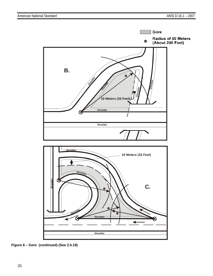

**Figure 6 – Gore (continued) (See 2.5.19)**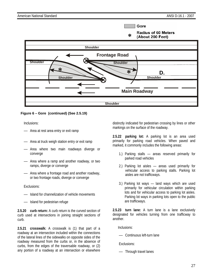Gore

#### **Radius of 60 Meters** \* (About 200 Feet)



### **Figure 6 – Gore (continued) (See 2.5.19)**

Inclusions:

- Area at rest area entry or exit ramp
- Area at truck weigh station entry or exit ramp
- Area where two main roadways diverge or converge
- Area where a ramp and another roadway, or two ramps, diverge or converge
- Area where a frontage road and another roadway, or two frontage roads, diverge or converge

Exclusions:

- Island for channelization of vehicle movements
- Island for pedestrian refuge

**2.5.20 curb return:** A curb return is the curved section of curb used at intersections in joining straight sections of curb.

**2.5.21 crosswalk:** A crosswalk is (1) that part of a roadway at an intersection included within the connections of the lateral lines of the sidewalks on opposite sides of the roadway measured from the curbs or, in the absence of curbs, from the edges of the traversable roadway, or (2) any portion of a roadway at an intersection or elsewhere distinctly indicated for pedestrian crossing by lines or other markings on the surface of the roadway.

**2.5.22 parking lot:** A parking lot is an area used primarily for parking road vehicles. When paved and marked, it commonly includes the following areas:

- 1.) Parking stalls areas reserved primarily for parked road vehicles
- 2.) Parking lot aisles areas used primarily for vehicular access to parking stalls. Parking lot aisles are not trafficways.
- 3.) Parking lot ways land ways which are used primarily for vehicular circulation within parking lots and for vehicular access to parking lot aisles. Parking lot ways in parking lots open to the public are trafficways.

**2.5.23 turn lane:** A turn lane is a lane exclusively designated for vehicles turning from one trafficway to another.

Inclusions:

— Continuous left-turn lane

Exclusions:

— Through travel lanes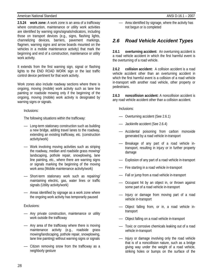**2.5.24 work zone:** A work zone is an area of a trafficway where construction, maintenance or utility work activities are identified by warning signs/signals/indicators, including those on transport devices (e.g., signs, flashing lights, channelizing devices, barriers, pavement markings, flagmen, warning signs and arrow boards mounted on the vehicles in a mobile maintenance activity) that mark the beginning and end of a construction, maintenance or utility work activity.

It extends from the first warning sign, signal or flashing lights to the END ROAD WORK sign or the last traffic control device pertinent for that work activity.

Work zones also include roadway sections where there is ongoing, moving (mobile) work activity such as lane line painting or roadside mowing only if the beginning of the ongoing, moving (mobile) work activity is designated by warning signs or signals.

Inclusions:

The following situations within the trafficway:

- Long-term stationary construction such as building a new bridge, adding travel lanes to the roadway, extending an existing trafficway, etc. (construction activity/work)
- Work involving moving activities such as striping the roadway, median and roadside grass mowing/ landscaping, pothole repair, snowplowing, lane line painting, etc., where there are warning signs or signals marking the beginning of the moving work area (Mobile maintenance activity/work)
- Short-term stationary work such as repairing/ maintaining electric, gas, water lines or traffic signals (Utility activity/work)
- Areas identified by signage as a work zone where the ongoing work activity has temporarily paused

Exclusions:

- Any private construction, maintenance or utility work outside the trafficway
- Any area of the trafficway where there is moving maintenance activity (e.g., roadside grass mowing/landscaping, pothole repair, snowplowing, lane line painting) without warning signs or signals
- Citizen removing snow from the trafficway as a neighborly gesture

— Area identified by signage, where the activity has not begun or is completed

### *2.6 Road Vehicle Accident Types*

**2.6.1 overturning accident:** An overturning accident is a road vehicle accident in which the first harmful event is the overturning of a road vehicle.

**2.6.2 collision accident:** A collision accident is a road vehicle accident other than an overturning accident in which the first harmful event is a collision of a road vehicle in-transport with another road vehicle, other property or pedestrians.

**2.6.3 noncollision accident:** A noncollision accident is any road vehicle accident other than a collision accident.

Inclusions:

- Overturning accident (See 2.6.1)
- Jackknife accident (See 2.6.4)
- Accidental poisoning from carbon monoxide generated by a road vehicle in-transport
- Breakage of any part of a road vehicle intransport, resulting in injury or in further property damage
- Explosion of any part of a road vehicle in-transport
- Fire starting in a road vehicle in-transport
- Fall or jump from a road vehicle in-transport
- Occupant hit by an object in, or thrown against some part of a road vehicle in-transport
- Injury or damage from moving part of a road vehicle in-transport
- Object falling from, or in, a road vehicle intransport
- Object falling on a road vehicle in-transport
- Toxic or corrosive chemicals leaking out of a road vehicle in-transport
- Injury or damage involving only the road vehicle that is of a noncollision nature, such as a bridge giving way under the weight of a road vehicle, striking holes or bumps on the surface of the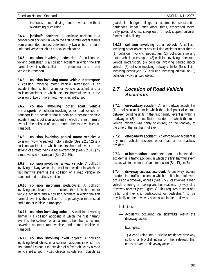trafficway, or driving into water, without overturning or collision

**2.6.4 jackknife accident:** A jackknife accident is a noncollision accident in which the first harmful event results from unintended contact between any two units of a multiunit road vehicle such as a truck combination.

**2.6.5 collision involving pedestrian:** A collision involving pedestrian is a collision accident in which the first harmful event is the collision of a pedestrian and a road vehicle in-transport.

**2.6.6 collision involving motor vehicle in-transport:**  A collision involving motor vehicle in-transport is an accident that is both a motor vehicle accident and a collision accident in which the first harmful event is the collision of two or more motor vehicles in-transport.

**2.6.7 collision involving other road vehicle in-transport:** A collision involving other road vehicle intransport is an accident that is both an other-road-vehicle accident and a collision accident in which the first harmful event is the collision of two or more other road vehicles intransport.

**2.6.8 collision involving parked motor vehicle:** A collision involving parked motor vehicle (See 2.2.34.2) is a collision accident in which the first harmful event is the striking of a motor vehicle not in-transport (See 2.2.34.1) by a road vehicle in-transport (See 2.2.34).

**2.6.9 collision involving railway vehicle:** A collision involving railway vehicle is a collision accident in which the first harmful event is the collision of a road vehicle intransport and a railway vehicle.

**2.6.10 collision involving pedalcycle**: A collision involving pedalcycle is an accident that is both a motor vehicle accident and a collision accident in which the first harmful event is the collision of a pedalcycle in-transport and a motor vehicle in-transport.

**2.6.11 collision involving animal:** A collision involving animal is a collision accident in which the first harmful event is the collision of an animal, other than an animal powering an other road vehicle, and a road vehicle intransport.

**2.6.12 collision involving fixed object:** A collision involving fixed object is a collision accident in which the first harmful event is the striking of a fixed object by a road vehicle in-transport. Fixed objects include such objects as

guardrails, bridge railings or abutments, construction barricades, impact attenuators, trees, embedded rocks, utility poles, ditches, steep earth or rock slopes, culverts, fences and buildings.

**2.6.13 collision involving other object:** A collision involving other object is any collision accident other than a (1) collision involving pedestrian, (2) collision involving motor vehicle in-transport, (3) collision involving other road vehicle in-transport, (4) collision involving parked motor vehicle, (5) collision involving railway vehicle, (6) collision involving pedalcycle, (7) collision involving animal, or (8) collision involving fixed object.

### *2.7 Location of Road Vehicle Accidents*

**2.7.1 on-roadway accident:** An on-roadway accident is (1) a collision accident in which the initial point of contact between colliding units in the first harmful event is within a roadway or (2) a noncollision accident in which the road vehicle involved was partly or entirely on the roadway at the time of the first harmful event.

**2.7.2 off-roadway accident:** An off-roadway accident is any road vehicle accident other than an on-roadway accident.

**2.7.3 at-intersection accident:** An at-intersection accident is a traffic accident in which the first harmful event occurs within the limits of an intersection (See Figure 5).

**2.7.4 driveway access accident:** A driveway access accident is a traffic accident in which the first harmful event occurs on a driveway access (See 2.5.9) or involves a road vehicle entering or leaving another roadway by way of a driveway access (See Figure 4). This requires at least one traffic unit (vehicle, pedalcyclist or pedestrian) to be physically on the driveway access within the trafficway.

Inclusions:

— Accidents occurring on sidewalks within the driveway access

Examples:

1) A car turning into a private residence driveway striking a bicyclist riding on the sidewalk that crosses over the driveway access.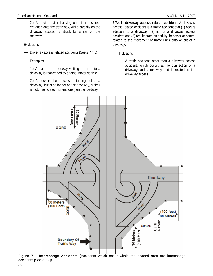2.) A tractor trailer backing out of a business entrance onto the trafficway, while partially on the driveway access, is struck by a car on the roadway.

Exclusions:

— Driveway access related accidents (See 2.7.4.1)

Examples:

1.) A car on the roadway waiting to turn into a driveway is rear-ended by another motor vehicle

2.) A truck in the process of turning out of a driveway, but is no longer on the driveway, strikes a motor vehicle (or non-motorist) on the roadway

**2.7.4.1 driveway access related accident:** A driveway access related accident is a traffic accident that (1) occurs adjacent to a driveway, (2) is not a driveway access accident and (3) results from an activity, behavior or control related to the movement of traffic units onto or out of a driveway.

Inclusions:

— A traffic accident, other than a driveway access accident, which occurs at the connection of a driveway and a roadway and is related to the driveway access



**Figure 7 – Interchange Accidents (**Accidents which occur within the shaded area are interchange accidents [See 2.7.7]).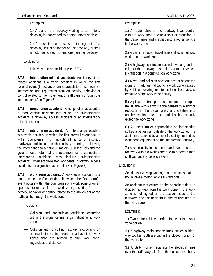### American National Standard ANSI D-16.1 - 2007

Examples:

1.) A car on the roadway waiting to turn into a driveway is rear-ended by another motor vehicle

2.) A truck in the process of turning out of a driveway, but is no longer on the driveway, strikes a motor vehicle (or non-motorist) on the roadway

Exclusions:

— Driveway access accident (See 2.7.4)

**2.7.5 intersection-related accident:** An intersectionrelated accident is a traffic accident in which the first harmful event (1) occurs on an approach to or exit from an intersection and (2) results from an activity, behavior or control related to the movement of traffic units through the intersection. (See Figure 5)

**2.7.6 nonjunction accident:** A nonjunction accident is a road vehicle accident that is not an at-intersection accident, a driveway access accident or an intersectionrelated accident.

**2.7.7 interchange accident:** An interchange accident is a traffic accident in which the first harmful event occurs within boundaries which include all ramps of auxiliary roadways and include each roadway entering or leaving the interchange to a point 30 meters (100 feet) beyond the gore or curb return at the outermost ramp connection. Interchange accidents may include at-intersection accidents, intersection-related accidents, driveway access accidents or nonjunction accidents (See Figure 7).

**2.7.8 work zone accident:** A work zone accident is a motor vehicle traffic accident in which the first harmful event occurs within the boundaries of a work zone or on an approach to or exit from a work zone, resulting from an activity, behavior or control related to the movement of the traffic units through the work zone.

Inclusions:

- Collision and noncollision accidents occurring within the signs or markings indicating a work zone
- Collision and noncollision accidents occurring on approach to, exiting from, or adjacent to work zones that are related to the work zone, regardless of distance

Examples:

1.) An automobile on the roadway loses control within a work zone due to a shift or reduction in the travel lanes and crashes into another vehicle in the work zone

2.) A van in an open travel lane strikes a highway worker in the work zone

3.) A highway construction vehicle working on the edge of the roadway is struck by a motor vehicle in-transport in a construction work zone

4.) A rear-end collision accident occurs before the signs or markings indicating a work zone caused by vehicles slowing or stopped on the roadway because of the work zone activity

5.) A pickup in-transport loses control in an open travel lane within a work zone caused by a shift or reduction in the travel lanes and crashes into another vehicle down the road that had already exited the work zone

6.) A tractor trailer approaching an intersection strikes a pedestrian outside of the work zone. The accident is caused by a lack of visibility created by work zone equipment on the intersecting roadway

7.) A sport utility loses control and overturns on a roadway within a work zone due to a severe lane shift without any collision event

Exclusions:

- Accidents involving working motor vehicles that do not involve a motor vehicle in-transport
- An accident that occurs on the opposite side of a divided highway from the work zone, if the work zone is not signed on the accident side of the highway, and the accident is clearly unrelated to the work zone

Examples:

1.) Two motor vehicles performing work in a work zone collide

2.) A highway maintenance truck strikes a highway worker. Both are within the closed portion of the work site

3.) A utility worker repairing the electrical lines over the trafficway falls from the bucket of a cherry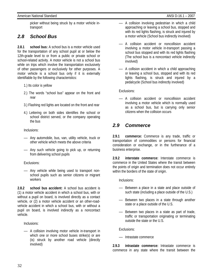picker without being struck by a motor vehicle intransport

### *2.8 School Bus*

**2.8.1 school bus:** A school bus is a motor vehicle used for the transportation of any school pupil at or below the 12th-grade level to or from a public or private school or school-related activity. A motor vehicle is not a school bus while on trips which involve the transportation exclusively of other passengers or exclusively for other purposes. A motor vehicle is a school bus only if it is externally identifiable by the following characteristics:

- 1.) Its color is yellow
- 2.) The words "school bus" appear on the front and rear
- 3.) Flashing red lights are located on the front and rear
- 4.) Lettering on both sides identifies the school or school district served, or the company operating the bus

Inclusions:

- Any automobile, bus, van, utility vehicle, truck or other vehicle which meets the above criteria
- Any such vehicle going to pick up, or returning from delivering school pupils

### Exclusions:

— Any vehicle while being used to transport nonschool pupils such as senior citizens or migrant workers

**2.8.2 school bus accident:** A school bus accident is (1) a motor vehicle accident in which a school bus, with or without a pupil on board, is involved directly as a contact vehicle, or (2) a motor vehicle accident or an other-roadvehicle accident in which a school bus, with or without a pupil on board, is involved indirectly as a noncontact vehicle.

Inclusions:

— A collision involving motor vehicle in-transport in which one or more school buses strike(s) or are (is) struck by another road vehicle (directly involved)

- A collision involving pedestrian in which a child approaching or leaving a school bus, stopped and with its red lights flashing, is struck and injured by a motor vehicle (School bus indirectly involved)
- A collision accident or noncollision accident involving a motor vehicle in-transport passing a school bus stopped and with its red lights flashing (The school bus is a noncontact vehicle indirectly involved)
- A collision accident in which a child approaching or leaving a school bus, stopped and with its red lights flashing, is struck and injured by a pedalcycle (School bus indirectly involved)

Exclusions:

— A collision accident or noncollision accident involving a motor vehicle which is normally used as a school bus, but is carrying only senior citizens when the collision occurs

### *2.9 Commerce*

**2.9.1 commerce:** Commerce is any trade, traffic or transportation of commodities or persons for financial consideration or exchange, or in the furtherance of a business enterprise.

**2.9.2 interstate commerce:** Interstate commerce is commerce in the United States where the transit between the points of origin and termination does not occur entirely within the borders of the state of origin.

Inclusions:

- Between a place in a state and place outside of such state (including a place outside of the U.S.)
- Between two places in a state through another state or a place outside of the U.S.
- Between two places in a state as part of trade, traffic or transportation originating or terminating outside the state or the U.S.

Exclusions:

— Intrastate commerce

**2.9.3 intrastate commerce:** Intrastate commerce is commerce in any state where the transit between the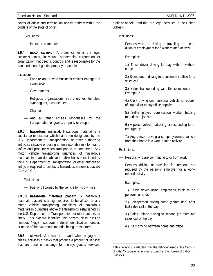points of origin and termination occurs entirely within the borders of the state of origin.

Exclusions:

— Interstate commerce

**2.9.4 motor carrier:** A motor carrier is the legal business entity, individual, partnership, corporation or organization that directs, controls and is responsible for the transportation of goods, property or people.

Inclusions:

- For-hire and private business entities engaged in commerce
- Governments
- Religious organizations; i.e., churches, temples, synagogues, mosques, etc.
- Charities
- And all other entities responsible for the transportation of goods, property or people

**2.9.5 hazardous material:** Hazardous material is a substance or material which has been designated by the U.S. Department of Transportation, or other authorizing entity, as capable of posing an unreasonable risk to health, safety and property when transported in commerce. Any motor vehicle transporting quantities of hazardous materials in quantities above the thresholds established by the U.S. Department of Transportation, or other authorized entity, is required to display a hazardous materials placard (See 2.9.5.1).

Exclusions:

— Fuel or oil carried by the vehicle for its own use

**2.9.5.1 hazardous materials placard:** A hazardous materials placard is a sign required to be affixed to any motor vehicle transporting quantities of hazardous materials in quantities above the thresholds established by the U.S. Department of Transportation, or other authorized entity. This placard identifies the hazard class division number, 4-digit hazardous material identification number, or name of the hazardous material being transported.

**2.9.6 at work:** A person is at work when engaged in duties, activities or tasks that produce a product or service; that are done in exchange for money, goods, services, profit or benefit; and that are legal activities in the United States.<sup>2</sup>

Inclusions:

— Persons who are driving or traveling as a condition of employment for a work-related activity.

Examples:

1.) Truck driver driving for pay with or without cargo

2.) Salesperson driving to a customer's office for a sales call

- 3.) Sales trainee riding with the salesperson in Example 2
- 4.) Clerk driving own personal vehicle at request of supervisor to buy office supplies

5.) Self-employed construction worker hauling materials to job site

6.) A police vehicle patrolling or responding to an emergency

7.) Any person driving a company-owned vehicle from their home in a work-related activity

Exclusions:

- Persons who are commuting to or from work
- Persons driving or traveling for reasons not required by the person's employer for a workrelated activity

Examples:

1.) Truck driver using employer's truck to do personal errands

2.) Salesperson driving home (commuting) after last sales call of the day

3.) Sales trainee driving to second job after last sales call of the day

4.) Clerk driving between home and office

 $\overline{a}$ 2 This definition is adapted from the definition used in the Census of Fatal Occupational Injuries program at the Bureau of Labor Statistics.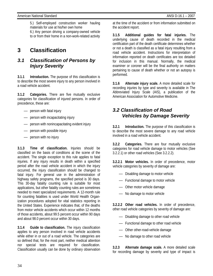5.) Self-employed construction worker hauling materials for use at his/her own home

6.) Any person driving a company-owned vehicle to or from their home in a non-work-related activity

### **3 Classification**

### *3.1 Classification of Persons by Injury Severity*

**3.1.1 Introduction.** The purpose of this classification is to describe the most severe injury to any person involved in a road vehicle accident.

**3.1.2 Categories.** There are five mutually exclusive categories for classification of injured persons. In order of precedence, these are:

- person with fatal injury
- person with incapacitating injury
- person with nonincapacitating evident injury
- person with possible injury
- person with no injury

**3.1.3 Time of classification.** Injuries should be classified on the basis of conditions at the scene of the accident. The single exception to this rule applies to fatal injuries. If any injury results in death within a specified period after the road vehicle accident in which the injury occurred, the injury classification should be changed to fatal injury. For general use in the administration of highway safety programs, the specified period is 30 days. This 30-day fatality counting rule is suitable for most applications, but other fatality counting rules are sometimes needed to meet specialized requirements. A 12-month rule for counting fatalities is used under World Health Organization procedures adopted for vital statistics reporting in the United States. Experience indicates that, of the deaths from motor vehicle accidents which occur within 12 months of those accidents, about 99.5 percent occur within 90 days and about 98.0 percent occur within 30 days.

**3.1.4 Guide to classification.** The injury classification applies to any person involved in road vehicle accidents while either in or out of a road vehicle. The categories are so defined that, for the most part, neither medical attention nor special tests are required for classification. Classification usually can be done by ordinary observation

at the time of the accident or from information submitted on the accident report.

**3.1.5 Additional guides for fatal injuries.** The underlying cause of death recorded in the medical certification part of the death certificate determines whether or not a death is classified as a fatal injury resulting from a road vehicle accident. Instructions for interpretation of information reported on death certificates are too detailed for inclusion in this manual. Normally, the medical examiner or coroner will be the final authority on matters pertaining to cause of death whether or not an autopsy is performed.

**3.1.6 Alternate injury scale.** A more detailed scale for recording injuries by type and severity is available in The Abbreviated Injury Scale (AIS), a publication of the American Association for Automotive Medicine.

### *3.2 Classification of Road Vehicles by Damage Severity*

**3.2.1 Introduction.** The purpose of this classification is to describe the most severe damage to any road vehicle involved in a road vehicle accident.

**3.2.2 Categories.** There are four mutually exclusive categories for road vehicle damage to motor vehicles (See 3.2.2.1) or other road vehicles (See 3.2.2.2).

**3.2.2.1 Motor vehicles.** In order of precedence, motor vehicle categories by severity of damage are:

- Disabling damage to motor vehicle
- Functional damage to motor vehicle
- Other motor vehicle damage
- No damage to motor vehicle

**3.2.2.2 Other road vehicles.** In order of precedence, other road vehicle categories by severity of damage are:

- Disabling damage to other road vehicle
- Functional damage to other road vehicle
- Other other-road-vehicle damage
- No damage to other road vehicle

**3.2.3 Alternate damage scale.** A more detailed scale for recording damage by severity and type of impact is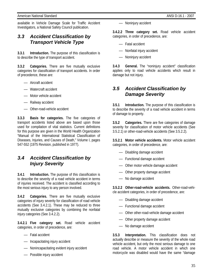available in Vehicle Damage Scale for Traffic Accident Investigators, a National Safety Council publication.

### *3.3 Accident Classification by Transport Vehicle Type*

**3.3.1 Introduction.** The purpose of this classification is to describe the type of transport accident.

**3.3.2 Categories.** There are five mutually exclusive categories for classification of transport accidents. In order of precedence, these are:

- Aircraft accident
- Watercraft accident
- Motor vehicle accident
- Railway accident
- Other-road-vehicle accident

**3.3.3 Basis for categories.** The five categories of transport accidents listed above are based upon those used for compilation of vital statistics. Current definitions for this purpose are given in the World Health Organization "Manual of the International Statistical Classification of Diseases, Injuries, and Causes of Death," Volume I, pages 547-552 (1975 Revision, published in 1977).

### *3.4 Accident Classification by Injury Severity*

**3.4.1 Introduction.** The purpose of this classification is to describe the severity of a road vehicle accident in terms of injuries received. The accident is classified according to the most serious injury to any person involved.

**3.4.2 Categories.** There are five mutually exclusive categories of injury severity for classification of road vehicle accidents (See 3.4.2.1). These may be reduced to three mutually exclusive categories by combining the nonfatal injury categories (See 3.4.2.2).

**3.4.2.1 Five category set.** Road vehicle accident categories, in order of precedence, are:

- Fatal accident
- Incapacitating injury accident
- Nonincapacitating evident injury accident
- Possible injury accident

— Noninjury accident

**3.4.2.2 Three category set.** Road vehicle accident categories, in order of precedence, are:

- Fatal accident
- Nonfatal injury accident
- Noninjury accident

**3.4.3 General.** The "noninjury accident" classification applies only to road vehicle accidents which result in damage but not injury.

### *3.5 Accident Classification by Damage Severity*

**3.5.1 Introduction.** The purpose of this classification is to describe the severity of a road vehicle accident in terms of damage to property.

**3.5.2 Categories.** There are five categories of damage severity for classification of motor vehicle accidents (See 3.5.2.1) or other-road-vehicle accidents (See 3.5.2.2).

**3.5.2.1 Motor vehicle accidents.** Motor vehicle accident categories, in order of precedence, are:

- Disabling damage accident
- Functional damage accident
- Other motor vehicle damage accident
- Other property damage accident
- No damage accident

**3.5.2.2 Other-road-vehicle accidents.** Other-road-vehicle accident categories, in order of precedence, are:

- Disabling damage accident
- Functional damage accident
- Other other-road-vehicle damage accident
- Other property damage accident
- No damage accident

**3.5.3 Interpretation.** This classification does not actually describe or measure the severity of the whole road vehicle accident, but only the most serious damage to one road vehicle. A motor vehicle accident in which one motorcycle was disabled would have the same "damage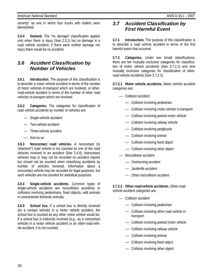severity" as one in which four trucks with trailers were demolished.

**3.5.4 General.** The "no damage" classification applies only when there is injury (See 2.3.1) but no damage in a road vehicle accident; if there were neither damage nor injury there would be no accident.

### *3.6 Accident Classification by Number of Vehicles*

**3.6.1 Introduction.** The purpose of this classification is to describe a motor vehicle accident in terms of the number of motor vehicles in-transport which are involved, or otherroad-vehicle accident in terms of the number of other road vehicles in-transport which are involved.

**3.6.2 Categories.** The categories for classification of road vehicle accidents by number of vehicles are:

- Single-vehicle accident
- Two-vehicle accident
- Three-vehicle accident
- And so on

**3.6.3 Noncontact road vehicles.** A noncontact (or "phantom") road vehicle is not counted as one of the road vehicles involved in an accident (See 2.4.8). Noncontact vehicles may or may not be recorded on accident reports but should not be counted when classifying accidents by number of vehicles involved. Information about a noncontact vehicle may be recorded for legal purposes, but such vehicles are not counted for statistical purposes.

**3.6.4 Single-vehicle accidents.** Common types of single-vehicle accidents are noncollision accidents or collisions involving pedestrians, fixed objects, wild animals or unrestrained domestic animals.

**3.6.5 School bus.** If a school bus is directly involved (as a contact vehicle) in a motor vehicle accident, the school bus is counted as any other motor vehicle would be. If a school bus is indirectly involved (e.g., as a noncontact vehicle) in a motor vehicle accident or an other-road-vehicle accident, it is not counted.

### *3.7 Accident Classification by First Harmful Event*

**3.7.1 Introduction.** The purpose of this classification is to describe a road vehicle accident in terms of the first harmful event that occurred.

**3.7.2 Categories.** Under two broad classifications, there are ten mutually exclusive categories for classification of motor vehicle accidents (See 3.7.2.1) and nine mutually exclusive categories for classification of otherroad-vehicle accidents (See 3.7.2.2).

**3.7.2.1 Motor vehicle accidents.** Motor vehicle accident categories are:

- Collision accident
	- Collision involving pedestrian
	- Collision involving motor vehicle in-transport
	- Collision involving parked motor vehicle
	- Collision involving railway vehicle
	- Collision involving pedalcycle
	- Collision involving animal
	- Collision involving fixed object
	- Collision involving other object
- Noncollision accident
	- Overturning accident
	- Jackknife accident
	- Other noncollision accident

**3.7.2.2 Other-road-vehicle accidents.** Other-roadvehicle accident categories are:

- Collision accident
	- Collision involving pedestrian
	- Collision involving other road vehicle in transport
	- Collision involving parked motor vehicle
	- Collision involving railway vehicle
	- Collision involving animal
	- Collision involving fixed object
	- Collision involving other object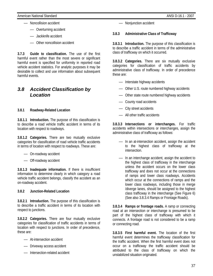- Noncollision accident
	- Overturning accident
	- Jackknife accident
	- Other noncollision accident

**3.7.3 Guide to classification.** The use of the first harmful event rather than the most severe or significant harmful event is specified for uniformity in reported road vehicle accident statistics. For analytic purposes it may be desirable to collect and use information about subsequent harmful events.

### *3.8 Accident Classification by Location*

### **3.8.1 Roadway-Related Location**

**3.8.1.1 Introduction.** The purpose of this classification is to describe a road vehicle traffic accident in terms of its location with respect to roadways.

**3.8.1.2 Categories.** There are two mutually exclusive categories for classification of road vehicle traffic accidents in terms of location with respect to roadways. These are:

- On-roadway accident
- Off-roadway accident

**3.8.1.3 Inadequate information.** If there is insufficient information to determine clearly in which category a road vehicle traffic accident belongs, classify the accident as an on-roadway accident.

### **3.8.2 Junction-Related Location**

**3.8.2.1 Introduction.** The purpose of this classification is to describe a traffic accident in terms of its location with respect to junctions.

**3.8.2.2 Categories.** There are four mutually exclusive categories for classification of traffic accidents in terms of location with respect to junctions. In order of precedence, these are:

- At-intersection accident
- Driveway access accident
- Intersection-related accident

— Nonjunction accident

### **3.8.3 Administrative Class of Trafficway**

**3.8.3.1 Introduction.** The purpose of this classification is to describe a traffic accident in terms of the administrative class of trafficway on which it occurred.

**3.8.3.2 Categories.** There are six mutually exclusive categories for classification of traffic accidents by administrative class of trafficway. In order of precedence these are:

- Interstate highway accidents
- Other U.S. route numbered highway accidents
- Other state route numbered highway accidents
- County road accidents
- City street accidents
- All other traffic accidents

**3.8.3.3 Intersections or interchanges.** For traffic accidents within intersections or interchanges, assign the administrative class of trafficway as follows:

- In an at-intersection accident, assign the accident to the highest class of trafficway at the intersection.
- In an interchange accident, assign the accident to the highest class of trafficway in the interchange unless the accident occurs on the lower class trafficway and does not occur at the connections of ramps and lower class roadways. Accidents which occur at the connections of ramps and the lower class roadways, including those in merge /diverge lanes, should be assigned to the highest class trafficway in the interchange (See Figure 6) (See also 3.8.3.4 Ramps or Frontage Roads).

**3.8.3.4 Ramps or frontage roads.** A ramp or connecting road at an intersection or interchange is presumed to be part of the highest class of trafficway with which it connects. A frontage road is not considered to be a ramp or connecting road.

**3.8.3.5 First harmful event.** The location of the first harmful event determines the trafficway classification for the traffic accident. When the first harmful event does not occur on a trafficway the traffic accident should be attributed to the class of trafficway on which the unstabilized situation originated.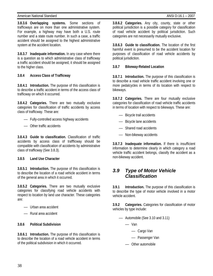### American National Standard ANSI D-16.1 – 2007

**3.8.3.6 Overlapping systems.** Some sections of trafficways are on more than one administrative system. For example, a highway may have both a U.S. route number and a state route number. In such a case, a traffic accident should be assigned to the highest administrative system at the accident location.

**3.8.3.7 Inadequate information.** In any case where there is a question as to which administrative class of trafficway a traffic accident should be assigned, it should be assigned to the higher class.

### **3.8.4 Access Class of Trafficway**

**3.8.4.1 Introduction.** The purpose of this classification is to describe a traffic accident in terms of the access class of trafficway on which it occurred.

**3.8.4.2 Categories.** There are two mutually exclusive categories for classification of traffic accidents by access class of trafficway. These are:

- Fully-controlled access highway accidents
- Other traffic accidents

**3.8.4.3 Guide to classification.** Classification of traffic accidents by access class of traffficway should be compatible with classification of accidents by administrative class of trafficway (See 3.8.3).

### **3.8.5 Land Use Character**

**3.8.5.1 Introduction.** The purpose of this classification is to describe the location of a road vehicle accident in terms of the general area in which it occurred.

**3.8.5.2 Categories.** There are two mutually exclusive categories for classifying road vehicle accidents with respect to location by land use character. These categories are:

- Urban area accident
- Rural area accident

### **3.8.6 Political Subdivision**

**3.8.6.1 Introduction.** The purpose of this classification is to describe the location of a road vehicle accident in terms of the political subdivision in which it occurred.

**3.8.6.2 Categories.** Any city, county, state or other political jurisdiction is a possible category for classification of road vehicle accident by political jurisdiction. Such categories are not necessarily mutually exclusive.

**3.8.6.3 Guide to classification.** The location of the first harmful event is presumed to be the accident location for purposes of classification of road vehicle accidents by political jurisdiction.

### **3.8.7 Bikeway-Related Location**

**3.8.7.1 Introduction.** The purpose of this classification is to describe a road vehicle traffic accident involving one or more pedalcycles in terms of its location with respect to bikeways.

**3.8.7.2 Categories.** There are four mutually exclusive categories for classification of road vehicle traffic accidents in terms of location with respect to bikeways. These are:

- Bicycle trail accidents
- Bicycle lane accidents
- Shared road accidents
- Non-bikeway accidents

**3.8.7.3 Inadequate information.** If there is insufficient information to determine clearly in which category a road vehicle traffic accident belongs, classify the accident as a non-bikeway accident.

### *3.9 Type of Motor Vehicle Classification*

**3.9.1 Introduction.** The purpose of this classification is to describe the type of motor vehicle involved in a motor vehicle accident.

**3.9.2 Categories.** Categories for classification of motor vehicles by type include:

- Automobile (See 3.10 and 3.11)
	- Van
		- Cargo Van
		- Passenger Van
	- Other automobile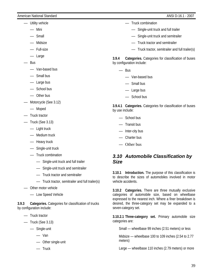- Utility vehicle
	- Mini
	- Small
	- Midsize
	- Full-size
	- Large
- Bus
	- Van-based bus
	- Small bus
	- Large bus
	- School bus
	- Other bus
- Motorcycle (See 3.12)
	- Moped
- Truck tractor
- Truck (See 3.13)
	- Light truck
	- Medium truck
	- Heavy truck
	- Single-unit truck
	- Truck combination
		- Single-unit truck and full trailer
		- Single-unit truck and semitrailer
		- Truck tractor and semitrailer
		- Truck tractor, semitrailer and full trailer(s)
- Other motor vehicle
	- Low Speed Vehicle

**3.9.3 Categories.** Categories for classification of trucks by configuration include:

- Truck tractor
- Truck (See 3.13)
	- Single-unit
		- Van
		- Other single-unit
		- Truck
- Truck combination
	- Single-unit truck and full trailer
	- Single-unit truck and semitrailer
	- Truck tractor and semitrailer
	- Truck tractor, semitrailer and full trailer(s)

**3.9.4 Categories.** Categories for classification of buses by configuration include:

- Bus
	- Van-based bus
	- Small bus
	- Large bus
	- School bus

**3.9.4.1 Categories.** Categories for classification of buses by use include:

- School bus
- Transit bus
- Inter-city bus
- Charter bus
- Other bus

### *3.10 Automobile Classification by Size*

**3.10.1 Introduction.** The purpose of this classification is to describe the sizes of automobiles involved in motor vehicle accidents.

**3.10.2 Categories.** There are three mutually exclusive categories of automobile size, based on wheelbase expressed to the nearest inch. Where a finer breakdown is desired, the three-category set may be expanded to a seven-category set.

**3.10.2.1 Three-category set.** Primary automobile size categories are:

Small — wheelbase 99 inches (2.51 meters) or less

Midsize — wheelbase 100 to 109 inches (2.54 to 2.77 meters)

Large — wheelbase 110 inches (2.79 meters) or more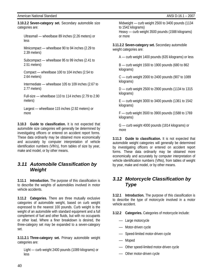40

**3.10.2.2 Seven-category set.** Secondary automobile size categories are:

Ultrasmall — wheelbase 89 inches (2.26 meters) or less

Minicompact — wheelbase 90 to 94 inches (2.29 to 2.39 meters)

Subcompact — wheelbase 95 to 99 inches (2.41 to 2.51 meters)

Compact — wheelbase 100 to 104 inches (2.54 to 2.64 meters)

Intermediate — wheelbase 105 to 109 inches (2.67 to 2.77 meters)

Full-size — wheelbase 110 to 114 inches (2.79 to 2.90 meters)

Largest — wheelbase 115 inches (2.92 meters) or more

**3.10.3 Guide to classification.** It is not expected that automobile size categories will generally be determined by investigating officers or entered on accident report forms. These data ordinarily may be obtained more economically and accurately by computer interpretation of vehicle identification numbers (VlN's), from tables of size by year, make and model, or by other means.

### *3.11 Automobile Classification by Weight*

**3.11.1 Introduction.** The purpose of this classification is to describe the weights of automobiles involved in motor vehicle accidents.

**3.11.2 Categories.** There are three mutually exclusive categories of automobile weight, based on curb weight expressed to the nearest 100 pounds. Curb weight is the weight of an automobile with standard equipment and a full complement of fuel and other fluids, but with no occupants or other load. Where a finer breakdown is desired, the three-category set may be expanded to a seven-category set.

**3.11.2.1 Three-category set.** Primary automobile weight categories are:

Light — curb weight 2400 pounds (1089 kilograms) or less

Midweight — curb weight 2500 to 3400 pounds (1134 to 1542 kilograms) Heavy — curb weight 3500 pounds (1588 kilograms) or more

**3.11.2.2 Seven-category set.** Secondary automobile weight categories are:

A — curb weight 1400 pounds (635 kilograms) or less

B — curb weight 1500 to 1900 pounds (680 to 862 kilograms)

C — curb weight 2000 to 2400 pounds (907 to 1089 kilograms)

D — curb weight 2500 to 2900 pounds (1134 to 1315 kilograms)

 $E$  — curb weight 3000 to 3400 pounds (1361 to 1542 kilograms)

F — curb weight 3500 to 3900 pounds (1588 to 1769 kilograms)

G — curb weight 4000 pounds (1814 kilograms) or more

**3.11.3 Guide to classification.** It is not expected that automobile weight categories will generally be determined by investigating officers or entered on accident report forms. These data ordinarily may be obtained more economically and accurately by computer interpretation of vehicle identification numbers (VlNs), from tables of weight by year, make and model, or by other means.

### *3.12 Motorcycle Classification by Type*

**3.12.1 Introduction.** The purpose of this classification is to describe the type of motorcycle involved in a motor vehicle accident.

**3.12.2 Categories.** Categories of motorcycle include:

- Large motorcycle
- Motor-driven cycle
- Speed-limited motor-driven cycle
- Moped
- Other speed-limited motor-driven cycle
- Other motor-driven cycle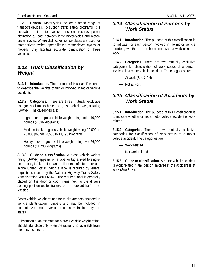**3.12.3 General.** Motorcycles include a broad range of transport devices. To support traffic safety programs, it is desirable that motor vehicle accident records permit distinction at least between large motorcycles and motordriven cycles. Where distinctive license plates are used for motor-driven cycles, speed-limited motor-driven cycles or mopeds, they facilitate accurate identification of these vehicles.

### *3.13 Truck Classification by Weight*

**3.13.1 Introduction.** The purpose of this classification is to describe the weights of trucks involved in motor vehicle accidents.

**3.13.2 Categories.** There are three mutually exclusive categories of trucks based on gross vehicle weight rating (GVWR). The categories are:

Light truck — gross vehicle weight rating under 10,000 pounds (4,536 kilograms)

Medium truck — gross vehicle weight rating 10,000 to 26,000 pounds (4,536 to 11,793 kilograms)

Heavy truck — gross vehicle weight rating over 26,000 pounds (11,793 kilograms)

**3.13.3 Guide to classification.** A gross vehicle weight rating (GVWR) appears on a label or tag affixed to singleunit trucks, truck tractors and trailers manufactured for use in the United States. Such a label is required by federal regulations issued by the National Highway Traffic Safety Administration (49CFR567). The required label is generally placed on the door or door frame next to the driver's seating position or, for trailers, on the forward half of the left side.

Gross vehicle weight ratings for trucks are also encoded in vehicle identification numbers and may be included in computerized motor vehicle records maintained by the states.

Substitution of an estimate for a gross vehicle weight rating should take place only when the rating is not available from the above sources.

### *3.14 Classification of Persons by Work Status*

**3.14.1 Introduction.** The purpose of this classification is to indicate, for each person involved in the motor vehicle accident, whether or not the person was at work or not at work.

**3.14.2 Categories.** There are two mutually exclusive categories for classification of work status of a person involved in a motor vehicle accident. The categories are:

- At work (See 2.9.4)
- Not at work

### *3.15 Classification of Accidents by Work Status*

**3.15.1 Introduction.** The purpose of this classification is to indicate whether or not a motor vehicle accident is work related.

**3.15.2 Categories.** There are two mutually exclusive categories for classification of work status of a motor vehicle accident. The categories are:

- Work related
- Not work related

**3.15.3 Guide to classification.** A motor vehicle accident is work related if any person involved in the accident is at work (See 3.14).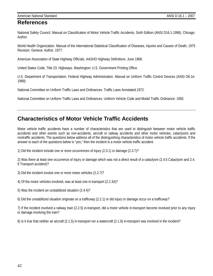### **References**

National Safety Council. Manual on Classification of Motor Vehicle Traffic Accidents, Sixth Edition (ANSI D16.1-1996). Chicago: Author.

World Health Organization. Manual of the International Statistical Classification of Diseases, Injuries and Causes of Death, 1975 Revision. Geneva: Author, 1977.

American Association of State Highway Officials. AASHO Highway Definitions. June 1968.

United States Code, Title 23. Highways. Washington: U.S. Government Printing Office.

U.S. Department of Transportation, Federal Highway Administration. Manual on Uniform Traffic Control Devices (ANSI D6.1e-1989).

National Committee on Uniform Traffic Laws and Ordinances. Traffic Laws Annotated.1972.

National Committee on Uniform Traffic Laws and Ordinances. Uniform Vehicle Code and Model Traffic Ordinance. 1992.

### **Characteristics of Motor Vehicle Traffic Accidents**

Motor vehicle traffic accidents have a number of characteristics that are used to distinguish between motor vehicle traffic accidents and other events such as non-accidents, aircraft or railway accidents and other motor vehicles, cataclysms and nontraffic accidents. The questions below address all of the distinguishing characteristics of motor vehicle traffic accidents. If the answer to each of the questions below is "yes," then the incident is a motor vehicle traffic accident.

1) Did the incident include one or more occurrences of injury (2.3.1) or damage (2.3.7)?

2) Was there at least one occurrence of injury or damage which was not a direct result of a cataclysm (2.4.5 Cataclysm and 2.4. 9 Transport accident)?

3) Did the incident involve one or more motor vehicles (2.2.7)?

4) Of the motor vehicles involved, was at least one in-transport (2.2.34)?

- 5) Was the incident an unstabilized situation (2.4.4)?
- 6) Did the unstabilized situation originate on a trafficway (2.2.1) or did injury or damage occur on a trafficway?

7) If the incident involved a railway train (2.2.5) in-transport, did a motor vehicle in-transport become involved prior to any injury or damage involving the train?

8) Is it true that neither an aircraft (2.1.5) in-transport nor a watercraft (2.1.6) in-transport was involved in the incident?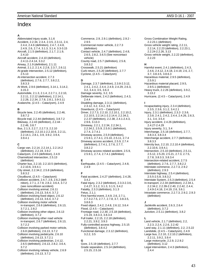#### **A**

- Abbreviated injury scale, 3.1.6 Accident, 2.2.34, 2.3.4, 2.3.5, 2.3.11, 2.4, 2.4.4, 2.4.6 (definition), 2.4.7, 2.4.8, 2.4.9, 2.6, 2.7.4, 3.1.3, 3.1.4, 3.3-3.15 Aircraft, 2.1.5 (definition), 2.1.7, 2.1.9, 2.4.10 Aircraft accident, 2.4.10 (definition), 2.4.11-2.4.14, 3.3.2 Airway, 2.1.9 (definition), 2.1.11 Animal, 2.1.2, 2.1.4, 2.2.8, 2.3.7, 2.6.11 At-grade intersection, 2.5.12 (definition), 2.5.13 At-intersection accident, 2.7.3 (definition), 2.7.6, 2.7.7, 3.8.2.2, 3.8.3.3 At Work, 2.9.6 (definition), 3.14.1, 3.14.2, 3.15.3 Automobile, 2.1.3, 2.1.4, 2.2.7.1, 2.2.10, 2.2.11, 2.2.12 (definition), 2.2.14.1,
- 2.2.28, 2.2.34, 2.7.8, 2.8.1, 3.9-3.11 Avalanche, (2.4.5 – Cataclysm), 2.4.9

#### **B**

- Bicycle lane, 2.2.45 (definition), 2.2.46, 3.8.7.2
- Bicycle trail, 2.2.44 (definition), 3.8.7.2 Bikeway, 2.2.43 (definition), 2.2.44 - 2.2.46, 3.8.7
- Bus, 2.1.3, 2.2.7, 2.2.7.3, 2.2.10 (definition), 2.2.10.1-2.2.10.6, 2.2.11, 2.2.14.1, 2.8.1, 3.9, 3.9.2, 3.9.4, 3.9.4.1

#### **C**

- Cargo van, 2.2.14, 2.2.14.1, 2.2.14.2 (definition), 2.2.19, 3.9.2 Cataclysm, 2.4.5 (definition), 2.4.9 Channelized intersection, 2.5.13 (definition) Charter bus, 2.2.10, 2.2.10.5 (definition), 2.2.10.6, 3.9.4.1 City street, 2.2.34.2, 2.5.8 (definition), 3.8.3.2 Cloudburst, (2.4.5 – Cataclysm) Collision accident, 2.4.7, 2.6, 2.6.2 (definition), 2.7.1, 2.7.8, 2.8.2, 3.6.4, 3.7.2 (see noncollision accident) Collision involving animal, 2.6.11 (definition), 2.6.13, 3.6.4, 3.7.2 Collision involving fixed object, 2.6.12 (definition), 2.6.13, 3.6.4, 3.7.2 Collision involving motor vehicle in-transport, 2.6.6 (definition), 2.6.13, 3.7.2.1, 2.8.2 Collision involving other object, 2.6.13 (definition), 3.7.2 Collision involving other road vehicle in-transport, 2.6.7 (definition), 2.6.13, 3.7.2.2 Collision involving parked motor vehicle, 2.6.8 (definition), 2.6.13, 3.7.2 Collision involving pedalcycle, 2.6.10 (definition), 2.6.13, 3.7.2.1 Collision involving pedestrian, 2.4.12, 2.6.5 (definition), 2.6.13, 2.8.2, 3.6.4,
- 3.7.2 Collision involving railway vehicle, 2.6.9 (definition), 2.6.13, 3.7.2

Commerce, 2.9, 2.9.1 (definition), 2.9.2 - 2.9.5 Commercial motor vehicle, 2.2.7.3 (definition) Contact vehicle, 2.4.7 (definition), 2.4.8, 2.6.5, 2.8.2, 3.6.5 (See noncontact vehicle) County road, 2.5.7 (definition), 2.5.8, 3.8.3.2 Crosswalk, 2.5.21 (definition) Curb return, 2.5.20 (definition), 2.7.7 Cyclone, (2.4.5 – Cataclysm) **D** 

Damage, 2.3.7 (definition), 2.3.8-2.3.12, 2.4.1, 2.4.2, 2.4.4, 2.4.9, 2.4.29, 2.6.3, 3.2, 3.4.3, 3.5, 3.6.3 Damage severity, 3.2, 3.5 Deliberate intent, 2.4.2 (definition), 2.4.3, 2.4.4 Disabling damage, 2.3.11 (definition), 2.3.12, 3.2, 3.4.2, 3.5 Downburst, (2.4.5 – Cataclysm) Driver, 2.2.7.3, 2.2.10, 2.2.10.1, 2.2.10.2, 2.2.10.5, 2.2.14.1-2.2.14.4, 2.2.34.2, 2.2.37 (definition), 2.2.38, 2.4.1-2.4.3, 2.9.6, 3.13.3 Driveway, 2.2.1, 2.2.34, 2.2.34.1, 2.2.34.2, 2.5.9, 2.5.9.1 (definition), 2.7.4, 2.7.4.1 Driveway access, 2.5.9 (definition), 2.5.9.1, 2.7.4.1, 2.5.10, 2.5.11, 2.7.4 Driveway access accident, 2.5.9, 2.7.4 (definition), 2.7.4.1, 2.7.6, 2.7.7, 3.8.2.2 Driveway access related accident, 2.5.9, 2.5.9.1, 2.7.4, 2.7.4.1 (definition)

#### **E**

Earthquake, (2.4.5 – Cataclysm), 2.4.8, 2.4.9

#### **F**

Fatal accident, 2.4.27 (definition), 2.4.28, 3.4.2 Fatal injury, 2.3.2 (definition), 2.3.3-2.3.6, 2.4.27, 3.1.2, 3.1.3, 3.1.5, 3.4.2 Fatality, 2.3.3 (definition), 3.1.3 Fetus, 2.1.1 First harmful event, 2.4.9, 2.6, 2.7.1, 2.7.3-2.7.5, 2.7.7, 2.7.8, 3.7, 3.8.3.5, 3.8.6.3 Fixed object, 2.4.2, 2.4.8, 2.6.12, 3.6.4 Flood, (2.4.5 – Cataclysm) Frontage road, 2.2.30, 2.5.18 (definition), 2.5.19, 3.8.3.3, 3.8.3.4 Full trailer, 2.2.15, 2.2.18 (definition), 2.2.21, 3.9.2, 3.9.3 Fully-controlled access highway, 2.5.15 (definition), 3.8.4.2 Functional damage, 2.3.12 (definition), 3.2.2, 3.5

### **G**

Gore, 2.5.19 (definition), 2.7.7 Grade separation, 2.5.14 (definition), 2.5.15, 2.5.16

2.2.23.1 (definition) Gross vehicle weight rating, 2.2.11, 2.2.14, 2.2.23 (definition), 2.2.23.1, 2.2.24-2.2.26, 3.13 Gross vehicle weight, 2.2.22 (definition), 2.2.23 **H**  Harmful event, 2.4.1 (definition), 2.4.3, 2.4.6, 2.4.12, 2.4.18, 2.4.19, 2.6, 2.7, 3.7, 3.8.3.5, 3.8.6.3 Hazardous material, 2.9.5 (definition), 2.5.9.1 Hazardous material placard, 2.9.5, 2.9.5.1 (definition)

Gross Combination Weight Rating,

- Heavy truck, 2.2.26 (definition), 3.9.2, 3.13.2
- Hurricane, (2.4.5 Cataclysm), 2.4.9

#### **I**

Incapacitating injury, 2.3.4 (definition), 2.3.5, 2.3.6, 3.1.2, 3.4.2.1 Injury, 2.3.1 (definition), 2.3.2- 2.3.6, 2.3.8, 2.4.1, 2.4.2, 2.4.4, 2.4.26, 2.6.3, 3.1, 3.4, 3.5.4 Injury accident, 2.4.26 (definition), 2.4.27-2.4.29 Injury severity, 3.1, 3.4 Interchange, 2.5.16 (definition), 2.7.7, 3.8.3.3, 3.8.3.4 Interchange accident, 2.7.7 (definition), 3.8.3.3 Intercity bus, 2.2.10, 2.2.10.4 (definition), 2.2.10.6, 3.9.4.1 Intersection, 2.5.10 (definition), 2.5.11, 2.5.12, 2.5.20, 2.5.21, 2.7.3, 2.7.5, 2.7.8, 3.8.3.3, 3.8.3.4 Intersection-related accident, 2.7.5 (definition), 2.7.6, 2.7.7, 3.8.2.2 Interstate commerce, 2.2.7.3, 2.9.2 (definition), 2.9.3 Interstate highway, 2.5.4 (definition), 2.5.5-2.5.8, 3.8.3.2 Interstate System, 2.5.3 (definition), 2.5.4 In-transport, 2.2.34 (definition), 2.2.34.1, 2.2.34.2, 2.2.39-2.2.40, 2.2.42, 2.4.4, 2.4.9-2.4.16, 2.4.19, 2.6, 3.6.1 Intrastate commerce, 2.2.7.3, 2.9.2, 2.9.3 (definition) **J** 

Jackknife accident, 2.6.3, 2.6.4 (definition), 3.7.2 Junction, 2.5.11 (definition), 3.8.2

#### **L**

- Land vehicle, 2.1.7 (definition), 2.2, 2.2.3, 2.2.4, 2.2.6, 2.2.42 Land way, 2.1.11 (definition), 2.2, 2.5.22 Landslide, (2.4.5 – Cataclysm), 2.4.9 Large bus, 2.2.10, 2.2.10.2 (definition), 2.2.11, 3.9.2, 3.9.4 Large motorcycle, 2.2.9, 2.2.9.2 (definition), 3.12
- Legal intervention, 2.4.3 (definition), 2.4.4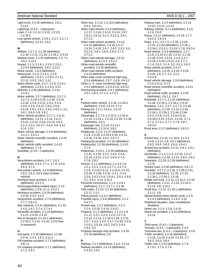#### American National Standard ANSI D-16.1 – 2007

Light truck, 2.2.24 (definition), 3.9.2, 3.13.2 Lightning, (2.4.5 – Cataclysm) Load, 2.1.4, 2.2.12, 2.2.22, 2.2.23, 2.2.34.2 Low speed vehicle, 2.2.6.1, 2.2.7, 2.2.7.1 (definition), 2.2.12, 3.9.2

#### **M**

- Median, 2.2.7.2, 2.2.29 (definition), 2.2.30, 2.2.31, 2.2.34, 2.2.34.2, 2.5.24 Medium truck, 2.2.25 (definition), 2.2.7.3, 3.9.2, 3.13.2 Moped, 2.1.3, 2.2.6.1, 2.2.9, 2.2.9.1, 2.2.9.4 (definition), 3.9.2, 3.12.2 Motor carrier, 2.9.4 (definition) Motorcycle, 2.1.3, 2.2.6.1, 2.2.9 (definition), 2.2.9.1, 2.2.9.2, 2.2.11, 2.2.12, 3.5.3, 3.9.2, 3.12 Motor-driven cycle, 2.2.7, 2.2.9, 2.2.9.1 (definition), 2.2.9.2, 2.2.9.3, 3.12 Motorist, 2.2.40 (definition), 2.2.41, 2.4.3.1 Motor vehicle, 2.2.7 (definition), 2.2.7.1- 2.2.7.3, 2.2.8-2.2.34, 2.2.40, 2.2.41, 2.2.42, 2.3.9, 2.3.12, 2.4.2, 2.4.4, 2.4.8, 2.4.9, 2.4.12, 2.6.6, 2.6.8, 2.6.10, 2.8.1, 2.8.2, 2.9.5, 2.9.5.1, 3.2, 3.6.1, 3.6.5, 3.9, 3.9.2 Motor vehicle accident, 2.2.7.1, 2.4.12 (definition), 2.4.13, 2.4.14, 2.4.17, 2.4.22, 2.4.23, 2.6.6, 2.6.10, 2.8.2, 3.1.3, 3.3.2, 3.5-3.7, 3.6.5, 3.9, 3.12, 3.14, 3.15 Motor vehicle damage, 2.3.9 (definition), 3.2.2.1, 3.5.2.1 Motor vehicle nontraffic accident, 2.4.23 (definition) Motor vehicle traffic accident, 2.4.22 (definition), 2.7.8
- Mudslide, (2.4.5 Cataclysm)

#### **N**

- Noncollision accident, 2.4.7, 2.6.3 (definition), 2.6.4, 2.7.1, 2.7.8, 2.8.2, 3.6.4, 3.7.2
- Noncontact vehicle, 2.4.8 (definition), 2.8.2, 3.6.3, 3.6.5 (See Contact vehicle)
- Nonfatal injury accident, 2.4.28 (definition), 3.4.2.2
- Nonincapacitating evident injury, 2.3.5 (definition), 2.3.6, 3.1.2, 3.4.2.1 Noninjury accident, 2.4.29 (definition),
- 2.4.30, 3.4.2, 3.4.3 Nonjunction accident, 2.7.6 (definition),
- 2.7.7, 3.8.2.2
- Non-motorist, 2.2.41 (definition), 2.2.42, 2.4.3, 2.4.7, 2.7.4, 2.7.4.1 Nontraffic accident, 2.4.19 (definition),
- 2.4.21, 2.4.23, 2.4.25 Not in-transport, 2.2.34.1 (definition),
- 2.2.34.2, 2.2.41, 2.2.42, 2.6.8 (See In-transport)

#### **O**

- Occupant, 2.2.35 (definition), 2.2.36- 2.2.41, 2.4.4, 2.6.3, 3.11.2
- Off-roadway accident, 2.7.2 (definition), 3.8.1.2
- On-roadway accident, 2.7.1 (definition), 2.7.2, 3.8.1

Other bus, 2.2.10, 2.2.10.6 (definition), 3.9.2, 3.9.14.1 Other road vehicle, 2.2.8 (definition), 2.2.27, 2.3.10, 2.4.12, 2.4.14, 2.6.7, 2.6.11, 2.6.13, 3.2.2, 3.2.2.2, 3.6.1, 3.7.2.2 Other-road-vehicle accident, 2.4.12, 2.4.14 (definition), 2.4.15-2.4.17, 2.4.24, 2.4.25, 2.6.7, 2.8.2, 3.3.2, 3.5, 3.5.2.2, 3.6.1, 3.6.5, 3.6.5, 3.7.2, 3.7.2.2 Other-road-vehicle damage, 2.3.10 (definition), 3.2.2.2, 3.5.2.2 Other-road-vehicle nontraffic accident, 2.4.25 (definition) Other-road-vehicle traffic accident, 2.4.24 (definition) Other state route numbered high-way, 2.5.6 (definition), 2.5.7, 2.5.8, 3.8.3.2 Other U. S. route numbered high-way, 2.5.5 (definition), 2.5.6-2.5.8, 3.8.3.2 Overturning accident, 2.6.1 (definition), 2.6.2, 2.6.3, 3.7.2.1, 3.7.2.2

#### **P**

Parked motor vehicle, 2.2.34, 2.2.34.2 (definition), 2.6.8, 2.6.13, 3.7.2 Parking lot, 2.2.1, 2.5.9.1, 2.5.22 (definition) Passenger, 2.2.7.3, 2.2.10.3, 2.2.10.4, 2.2.14, 2.2.14.1, 2.2.23, 2.2.34, 2.2.38 (definition), 2.8.1 Passenger van, 2.2.14, 2.2.14.1 (definition), 2.2.14.4, 3.9.2 Pedalcycle, 2.2.8, 2.2.27 (definition), 2.2.8, 2.2.39, 2.2.43-2.2.45, 2.4.12, 2.4.16, 2.6.10, 2.8.2, 3.8.7.1 Pedalcycle accident, 2.4.16 (definition) Pedalcyclist, 2.2.39 (definition), 2.2.42, 2.7.4 Pedestrian, 2.2.6.1, 2.2.36 (definition), 2.2.41, 2.2.42, 2.4.2, 2.4.4, 2.4.8, 2.5.19, 2.5.21, 2.6.2, 2.6.5, 2.7.4, 2.7.8, 2.8.2 Person, 2.1.1 (definition), 2.1.2-2.1.6, 2.2.1, 2.2.3, 2.2.4, 2.2.7.1, 2.2.7.3, 2.2.8, 2.2.10-2.2.12, 2.2.14.4, 2.2.22, 2.2.34- 2.2.36, 2.2.41, 2.3.1, 2.3.4, 2.3.8, 2.4.2-2.4.4, 2.5.9.1, 2.9.1, 2.9.6, 3.1, 3.4.1, 3.14, 3.15.3 Personal conveyance, 2.1.3, 2.2.6.1 (definition), 2.2.7, 2.2.7.1, 2.2.36 Pole trailer, 2.2.15, 2.2.16 (definition), 2.2.17, 2.2.1 Police pursuit, 2.4.3.1 (definition) Possible injury, 2.3.6 (definition), 3.1.2, 3.4.2.1 Private way, 2.2.2 (definition), 2.2.3, 2.2.4, 2.4.18, 2.4.19, 2.5.9.1 Property, 2.1.2 (definition), 2.1.3-2.1.6, 2.1.11, 2.2.1, 2.2.3, 2.2.4, 2.2.7.3, 2.2.12, 2.2.13, 2.2.16-2.2.19, 2.2.22, 2.3.7, 2.4.3, 2.4.4, 2.4.7, 2.4.30, 2.5.9, 2.5.9.1, 2.5.18, 2.6.2, 2.6.3, 2.9.4, 2.9.5, 3.5 Property-damage-only accident, 2.4.29, 2.4.30 (definition), 3.5

#### **R**

Railway, 2.2.3 (definition), 2.2.4, 2.5.14 Railway accident, 2.4.13 (definition), 2.4.14, 3.3.2

Railway train, 2.2.5 (definition), 2.2.14, 2.2.42, 2.4.12, 2.4.13 Railway vehicle, 2.2.4 (definition), 2.2.5, 2.2.6, 2.6.9 Ramp, 2.5.17 (definition), 2.5.19, 2.7.7, 3.8.3.3, 3.8.3.4 Road, 2.2.1, 2.2.7.3, 2.2.28, 2.2.29- 2.2.31, 2.2.33 (definition), 2.2.34.1, 2.2.34.2, 2.5.9.1, 2.5.19, 2.7.8, 3.8.3.4 Road vehicle, 2.2.6 (definition), 2.2.7, 2.2.8, 2.2.15-2.2.18, 2.2.22, 2.2.32, 2.2.38, 2.3.8, 2.3.12, 2.4.3, 2.4.7, 2.4.18, 2.4.19, 2.5.22, 2.6, 2.7.1, 2.7.4, 2.8.2, 3.1.4, 3.2, 3.5.3, 3.6.3 Road vehicle accident, 2.4.17 (definition), 2.4.18, 2.4.19, 2.4.26, 2.4.29, 2.6, 2.7, 3.1, 3.2.1, 3.4-3.8 Road vehicle damage, 2.3.8 (definition), 2.3.9-2.3.12, 3.2.2 Road vehicle nontraffic accident, 2.4.21 (definition) Road vehicle traffic accident, 2.4.20 (definition), 3.8.1.1, 3.8.7 Roadside, 2.2.7.2, 2.2.31 (definition), 2.2.34, 2.2.34.1, 2.2.34.2, 2.5.24 Roadway, 2.2.1, 2.2.7, 2.2.7.2, 2.2.28 (definition), 2.2.29, 2.2.31-2.2.34, 2.2.34.1, 2.2.34.2, 2.2.44-2.2.46, 2.4.4, 2.4.8, 2.4.9, 2.5.9-2.5.12, 2.5.16-2.5.19, 2.5.21, 2.5.24, 2.7.1, 2.7.4, 2.7.4.1, 2.7.7, 2.7.8, 3.8.1, 3.8.3.3 Rural area, 2.5.2 (definition), 3.8.5.2 **S**  School bus, 2.2.10, 2.2.10.6, 2.2.3.4, 2.4.8, 2.4.12, 2.8, 2.8.1 (definition), 2.8.2, 3.6.5, 3.9.2, 3.9.4, 3.9.4.1 School bus accident, 2.4.12, 2.8.1, 2.8.2 (definition) Semitrailer, 2.1.3, 2.1.4, 2.2.15, 2.2.17 (definition), 2.2.18, 2.2.21, 3.9.2, 3.9.3 Separator, 2.2.29, 2.2.30 (definition), 2.2.31 Shared road, 2.2.46 (definition), 3.8.7.2 Shoulder, 2.2.7.2, 2.2.28, 2.2.29-2.2.31, 2.2.32 (definition), 2.2.33, 2.2.34, 2.2.34.1, 2.2.34.2, 2.5.19 Single-unit truck, 2.2.13, 2.2.14.2, 2.2.19 (definition), 2.2.21, 2.2.23, 2.2.23.1, 3.2.13, 3.9, 3.13.3 Small bus, 2.2.10, 2.2.10.1 (definition), 2.2.11, 3.9 Speed-limited motor-driven cycle, 2.2.9, 2.2.9.3 (definition), 2.2.9.4, 3.12 Stabilized situation, (see unstabilized situation) Street car, 2.2.4, 2.2.8, 2.4.15 Street car accident, 2.4.15 (definition), 2.4.16 **T**  Tidal wave, (2.4.5 – Cataclysm)

Tornado, (2.4.5 – Cataclysm), 2.4.9 Torrential rain, (2.4.5 – Cataclysm), 2.4.9 Traffic accident, 2.4.18 (definition), 2.4.19, 2.4.20, 2.4.22, 2.4.24, 2.7, 3.8.2, 3.8.3, 3.8.4 Traffic unit, 2.2.42 (definition), 2.7.4, 2.7.4.1, 2.7.5, 2.7.8